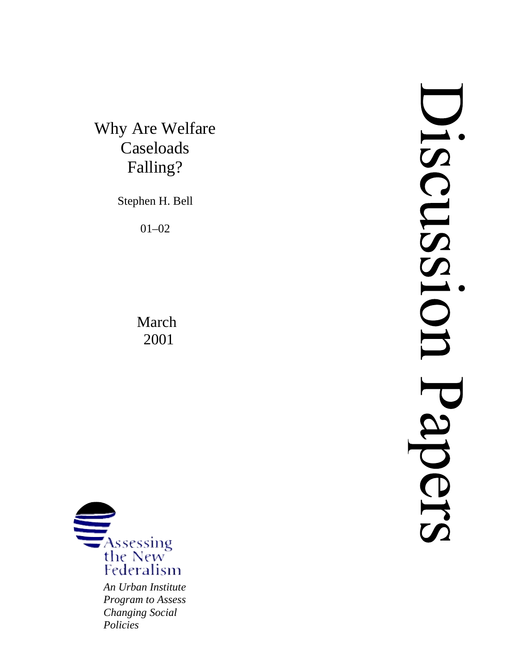Why Are Welfare Caseloads Falling?

Stephen H. Bell

01–02

March 2001



*Program to Assess Changing Social Policies*

JISSNSSIO **OIS**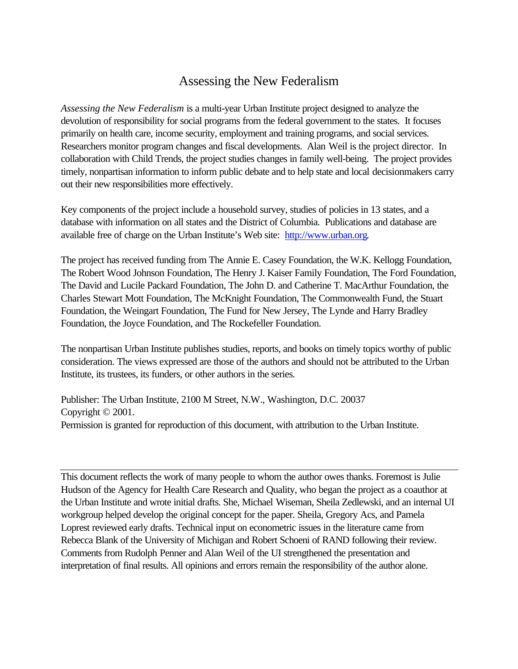# Assessing the New Federalism

*Assessing the New Federalism* is a multi-year Urban Institute project designed to analyze the devolution of responsibility for social programs from the federal government to the states. It focuses primarily on health care, income security, employment and training programs, and social services. Researchers monitor program changes and fiscal developments. Alan Weil is the project director. In collaboration with Child Trends, the project studies changes in family well-being. The project provides timely, nonpartisan information to inform public debate and to help state and local decisionmakers carry out their new responsibilities more effectively.

Key components of the project include a household survey, studies of policies in 13 states, and a database with information on all states and the District of Columbia. Publications and database are available free of charge on the Urban Institute's Web site: http://www.urban.org.

The project has received funding from The Annie E. Casey Foundation, the W.K. Kellogg Foundation, The Robert Wood Johnson Foundation, The Henry J. Kaiser Family Foundation, The Ford Foundation, The David and Lucile Packard Foundation, The John D. and Catherine T. MacArthur Foundation, the Charles Stewart Mott Foundation, The McKnight Foundation, The Commonwealth Fund, the Stuart Foundation, the Weingart Foundation, The Fund for New Jersey, The Lynde and Harry Bradley Foundation, the Joyce Foundation, and The Rockefeller Foundation.

The nonpartisan Urban Institute publishes studies, reports, and books on timely topics worthy of public consideration. The views expressed are those of the authors and should not be attributed to the Urban Institute, its trustees, its funders, or other authors in the series.

Publisher: The Urban Institute, 2100 M Street, N.W., Washington, D.C. 20037 Copyright © 2001. Permission is granted for reproduction of this document, with attribution to the Urban Institute.

This document reflects the work of many people to whom the author owes thanks. Foremost is Julie Hudson of the Agency for Health Care Research and Quality, who began the project as a coauthor at the Urban Institute and wrote initial drafts. She, Michael Wiseman, Sheila Zedlewski, and an internal UI workgroup helped develop the original concept for the paper. Sheila, Gregory Acs, and Pamela Loprest reviewed early drafts. Technical input on econometric issues in the literature came from Rebecca Blank of the University of Michigan and Robert Schoeni of RAND following their review. Comments from Rudolph Penner and Alan Weil of the UI strengthened the presentation and interpretation of final results. All opinions and errors remain the responsibility of the author alone.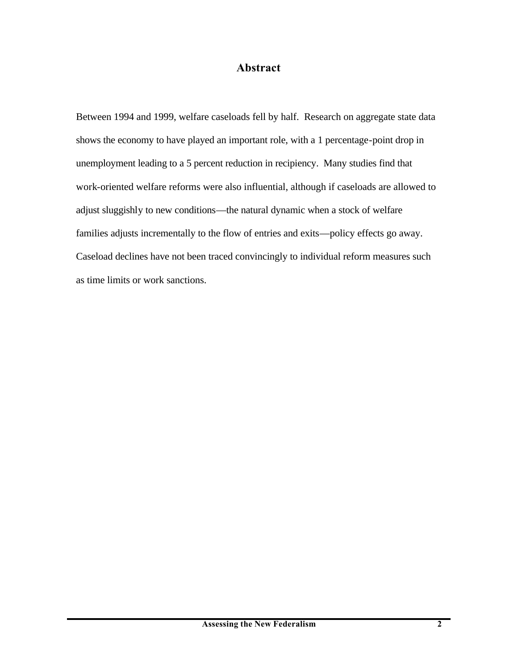# **Abstract**

Between 1994 and 1999, welfare caseloads fell by half. Research on aggregate state data shows the economy to have played an important role, with a 1 percentage-point drop in unemployment leading to a 5 percent reduction in recipiency. Many studies find that work-oriented welfare reforms were also influential, although if caseloads are allowed to adjust sluggishly to new conditions—the natural dynamic when a stock of welfare families adjusts incrementally to the flow of entries and exits—policy effects go away. Caseload declines have not been traced convincingly to individual reform measures such as time limits or work sanctions.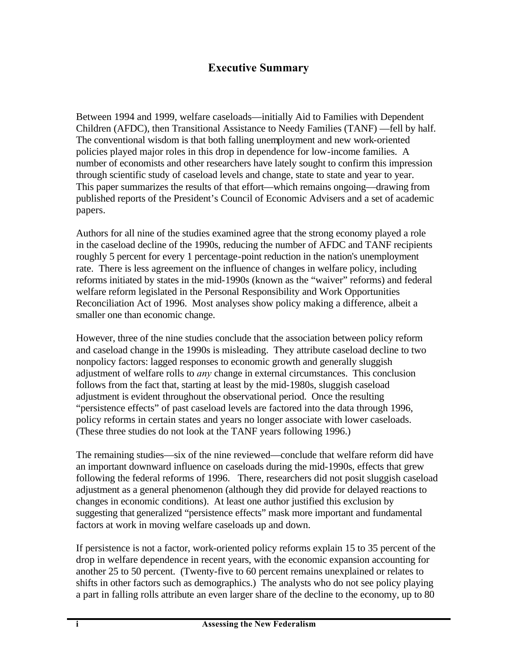# **Executive Summary**

Between 1994 and 1999, welfare caseloads—initially Aid to Families with Dependent Children (AFDC), then Transitional Assistance to Needy Families (TANF) —fell by half. The conventional wisdom is that both falling unemployment and new work-oriented policies played major roles in this drop in dependence for low-income families. A number of economists and other researchers have lately sought to confirm this impression through scientific study of caseload levels and change, state to state and year to year. This paper summarizes the results of that effort—which remains ongoing—drawing from published reports of the President's Council of Economic Advisers and a set of academic papers.

Authors for all nine of the studies examined agree that the strong economy played a role in the caseload decline of the 1990s, reducing the number of AFDC and TANF recipients roughly 5 percent for every 1 percentage-point reduction in the nation's unemployment rate. There is less agreement on the influence of changes in welfare policy, including reforms initiated by states in the mid-1990s (known as the "waiver" reforms) and federal welfare reform legislated in the Personal Responsibility and Work Opportunities Reconciliation Act of 1996. Most analyses show policy making a difference, albeit a smaller one than economic change.

However, three of the nine studies conclude that the association between policy reform and caseload change in the 1990s is misleading. They attribute caseload decline to two nonpolicy factors: lagged responses to economic growth and generally sluggish adjustment of welfare rolls to *any* change in external circumstances. This conclusion follows from the fact that, starting at least by the mid-1980s, sluggish caseload adjustment is evident throughout the observational period. Once the resulting "persistence effects" of past caseload levels are factored into the data through 1996, policy reforms in certain states and years no longer associate with lower caseloads. (These three studies do not look at the TANF years following 1996.)

The remaining studies—six of the nine reviewed—conclude that welfare reform did have an important downward influence on caseloads during the mid-1990s, effects that grew following the federal reforms of 1996. There, researchers did not posit sluggish caseload adjustment as a general phenomenon (although they did provide for delayed reactions to changes in economic conditions). At least one author justified this exclusion by suggesting that generalized "persistence effects" mask more important and fundamental factors at work in moving welfare caseloads up and down.

If persistence is not a factor, work-oriented policy reforms explain 15 to 35 percent of the drop in welfare dependence in recent years, with the economic expansion accounting for another 25 to 50 percent. (Twenty-five to 60 percent remains unexplained or relates to shifts in other factors such as demographics.) The analysts who do not see policy playing a part in falling rolls attribute an even larger share of the decline to the economy, up to 80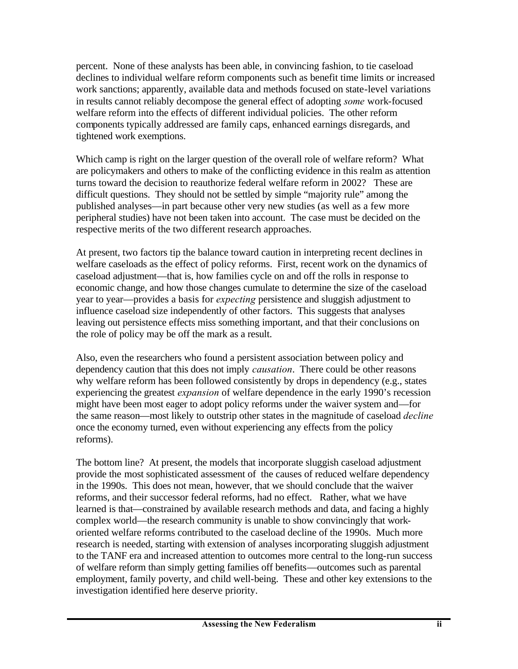percent. None of these analysts has been able, in convincing fashion, to tie caseload declines to individual welfare reform components such as benefit time limits or increased work sanctions; apparently, available data and methods focused on state-level variations in results cannot reliably decompose the general effect of adopting *some* work-focused welfare reform into the effects of different individual policies. The other reform components typically addressed are family caps, enhanced earnings disregards, and tightened work exemptions.

Which camp is right on the larger question of the overall role of welfare reform? What are policymakers and others to make of the conflicting evidence in this realm as attention turns toward the decision to reauthorize federal welfare reform in 2002? These are difficult questions. They should not be settled by simple "majority rule" among the published analyses—in part because other very new studies (as well as a few more peripheral studies) have not been taken into account. The case must be decided on the respective merits of the two different research approaches.

At present, two factors tip the balance toward caution in interpreting recent declines in welfare caseloads as the effect of policy reforms. First, recent work on the dynamics of caseload adjustment—that is, how families cycle on and off the rolls in response to economic change, and how those changes cumulate to determine the size of the caseload year to year—provides a basis for *expecting* persistence and sluggish adjustment to influence caseload size independently of other factors. This suggests that analyses leaving out persistence effects miss something important, and that their conclusions on the role of policy may be off the mark as a result.

Also, even the researchers who found a persistent association between policy and dependency caution that this does not imply *causation*. There could be other reasons why welfare reform has been followed consistently by drops in dependency (e.g., states experiencing the greatest *expansion* of welfare dependence in the early 1990's recession might have been most eager to adopt policy reforms under the waiver system and—for the same reason—most likely to outstrip other states in the magnitude of caseload *decline* once the economy turned, even without experiencing any effects from the policy reforms).

The bottom line? At present, the models that incorporate sluggish caseload adjustment provide the most sophisticated assessment of the causes of reduced welfare dependency in the 1990s. This does not mean, however, that we should conclude that the waiver reforms, and their successor federal reforms, had no effect. Rather, what we have learned is that—constrained by available research methods and data, and facing a highly complex world—the research community is unable to show convincingly that workoriented welfare reforms contributed to the caseload decline of the 1990s. Much more research is needed, starting with extension of analyses incorporating sluggish adjustment to the TANF era and increased attention to outcomes more central to the long-run success of welfare reform than simply getting families off benefits—outcomes such as parental employment, family poverty, and child well-being. These and other key extensions to the investigation identified here deserve priority.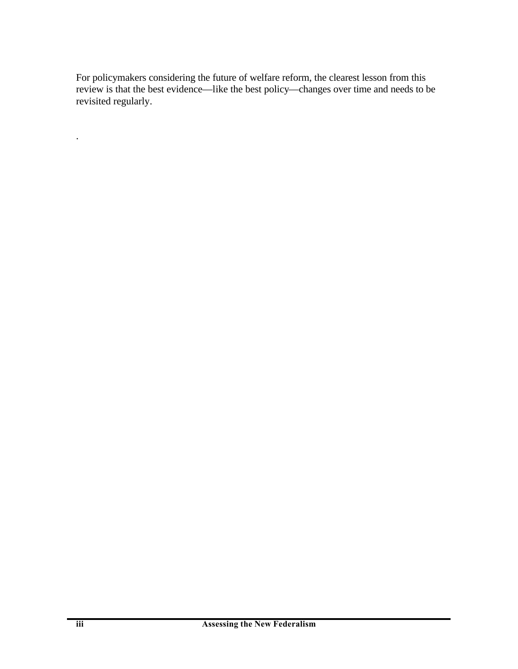For policymakers considering the future of welfare reform, the clearest lesson from this review is that the best evidence—like the best policy—changes over time and needs to be revisited regularly.

.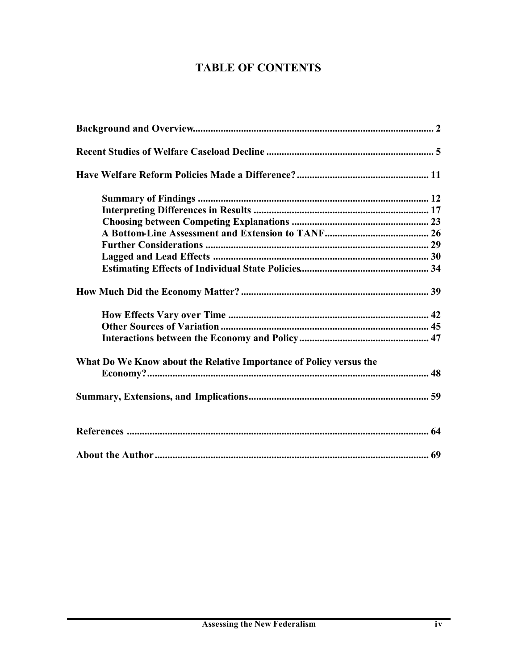# **TABLE OF CONTENTS**

| What Do We Know about the Relative Importance of Policy versus the |  |
|--------------------------------------------------------------------|--|
|                                                                    |  |
|                                                                    |  |
|                                                                    |  |
|                                                                    |  |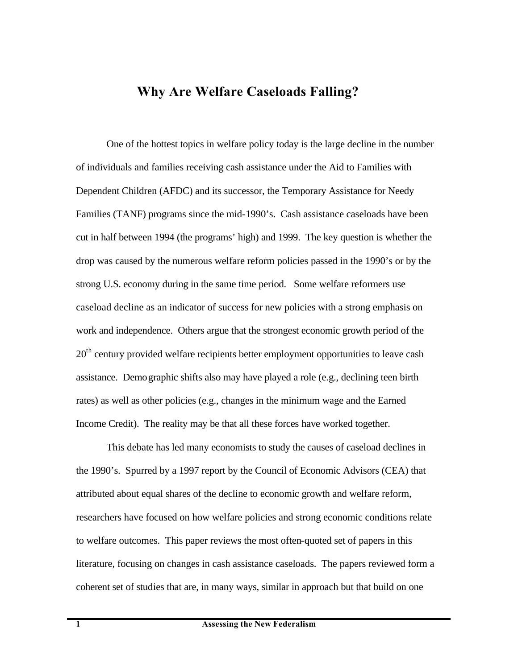# **Why Are Welfare Caseloads Falling?**

One of the hottest topics in welfare policy today is the large decline in the number of individuals and families receiving cash assistance under the Aid to Families with Dependent Children (AFDC) and its successor, the Temporary Assistance for Needy Families (TANF) programs since the mid-1990's. Cash assistance caseloads have been cut in half between 1994 (the programs' high) and 1999. The key question is whether the drop was caused by the numerous welfare reform policies passed in the 1990's or by the strong U.S. economy during in the same time period. Some welfare reformers use caseload decline as an indicator of success for new policies with a strong emphasis on work and independence. Others argue that the strongest economic growth period of the  $20<sup>th</sup>$  century provided welfare recipients better employment opportunities to leave cash assistance. Demographic shifts also may have played a role (e.g., declining teen birth rates) as well as other policies (e.g., changes in the minimum wage and the Earned Income Credit). The reality may be that all these forces have worked together.

This debate has led many economists to study the causes of caseload declines in the 1990's. Spurred by a 1997 report by the Council of Economic Advisors (CEA) that attributed about equal shares of the decline to economic growth and welfare reform, researchers have focused on how welfare policies and strong economic conditions relate to welfare outcomes. This paper reviews the most often-quoted set of papers in this literature, focusing on changes in cash assistance caseloads. The papers reviewed form a coherent set of studies that are, in many ways, similar in approach but that build on one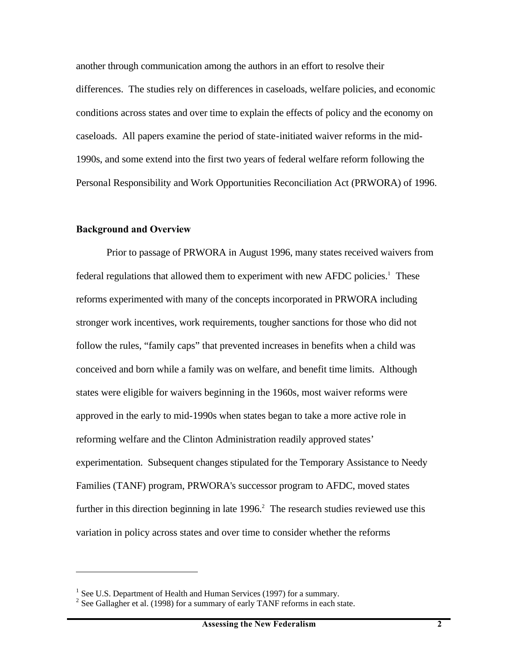another through communication among the authors in an effort to resolve their differences. The studies rely on differences in caseloads, welfare policies, and economic conditions across states and over time to explain the effects of policy and the economy on caseloads. All papers examine the period of state-initiated waiver reforms in the mid-1990s, and some extend into the first two years of federal welfare reform following the Personal Responsibility and Work Opportunities Reconciliation Act (PRWORA) of 1996.

#### **Background and Overview**

1

Prior to passage of PRWORA in August 1996, many states received waivers from federal regulations that allowed them to experiment with new AFDC policies.<sup>1</sup> These reforms experimented with many of the concepts incorporated in PRWORA including stronger work incentives, work requirements, tougher sanctions for those who did not follow the rules, "family caps" that prevented increases in benefits when a child was conceived and born while a family was on welfare, and benefit time limits. Although states were eligible for waivers beginning in the 1960s, most waiver reforms were approved in the early to mid-1990s when states began to take a more active role in reforming welfare and the Clinton Administration readily approved states' experimentation. Subsequent changes stipulated for the Temporary Assistance to Needy Families (TANF) program, PRWORA's successor program to AFDC, moved states further in this direction beginning in late  $1996<sup>2</sup>$ . The research studies reviewed use this variation in policy across states and over time to consider whether the reforms

<sup>&</sup>lt;sup>1</sup> See U.S. Department of Health and Human Services (1997) for a summary.

 $2^{2}$  See Gallagher et al. (1998) for a summary of early TANF reforms in each state.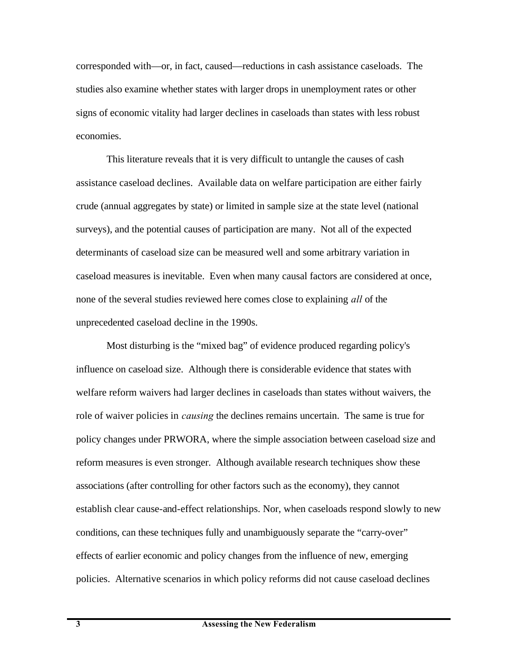corresponded with—or, in fact, caused—reductions in cash assistance caseloads. The studies also examine whether states with larger drops in unemployment rates or other signs of economic vitality had larger declines in caseloads than states with less robust economies.

This literature reveals that it is very difficult to untangle the causes of cash assistance caseload declines. Available data on welfare participation are either fairly crude (annual aggregates by state) or limited in sample size at the state level (national surveys), and the potential causes of participation are many. Not all of the expected determinants of caseload size can be measured well and some arbitrary variation in caseload measures is inevitable. Even when many causal factors are considered at once, none of the several studies reviewed here comes close to explaining *all* of the unprecedented caseload decline in the 1990s.

Most disturbing is the "mixed bag" of evidence produced regarding policy's influence on caseload size. Although there is considerable evidence that states with welfare reform waivers had larger declines in caseloads than states without waivers, the role of waiver policies in *causing* the declines remains uncertain. The same is true for policy changes under PRWORA, where the simple association between caseload size and reform measures is even stronger. Although available research techniques show these associations (after controlling for other factors such as the economy), they cannot establish clear cause-and-effect relationships. Nor, when caseloads respond slowly to new conditions, can these techniques fully and unambiguously separate the "carry-over" effects of earlier economic and policy changes from the influence of new, emerging policies. Alternative scenarios in which policy reforms did not cause caseload declines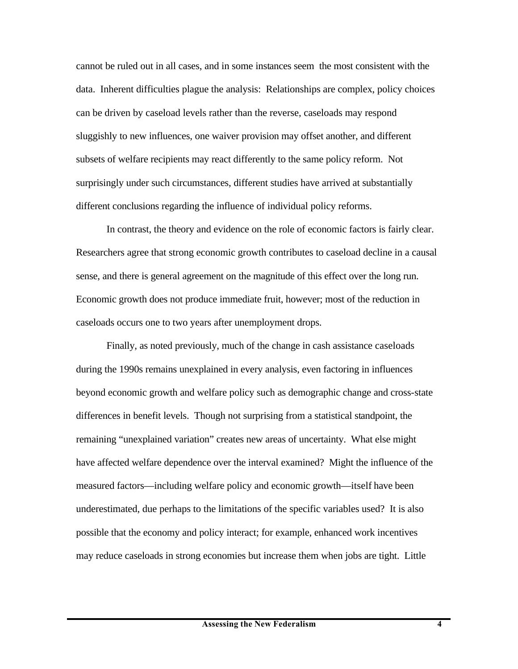cannot be ruled out in all cases, and in some instances seem the most consistent with the data. Inherent difficulties plague the analysis: Relationships are complex, policy choices can be driven by caseload levels rather than the reverse, caseloads may respond sluggishly to new influences, one waiver provision may offset another, and different subsets of welfare recipients may react differently to the same policy reform. Not surprisingly under such circumstances, different studies have arrived at substantially different conclusions regarding the influence of individual policy reforms.

In contrast, the theory and evidence on the role of economic factors is fairly clear. Researchers agree that strong economic growth contributes to caseload decline in a causal sense, and there is general agreement on the magnitude of this effect over the long run. Economic growth does not produce immediate fruit, however; most of the reduction in caseloads occurs one to two years after unemployment drops.

Finally, as noted previously, much of the change in cash assistance caseloads during the 1990s remains unexplained in every analysis, even factoring in influences beyond economic growth and welfare policy such as demographic change and cross-state differences in benefit levels. Though not surprising from a statistical standpoint, the remaining "unexplained variation" creates new areas of uncertainty. What else might have affected welfare dependence over the interval examined? Might the influence of the measured factors—including welfare policy and economic growth—itself have been underestimated, due perhaps to the limitations of the specific variables used? It is also possible that the economy and policy interact; for example, enhanced work incentives may reduce caseloads in strong economies but increase them when jobs are tight. Little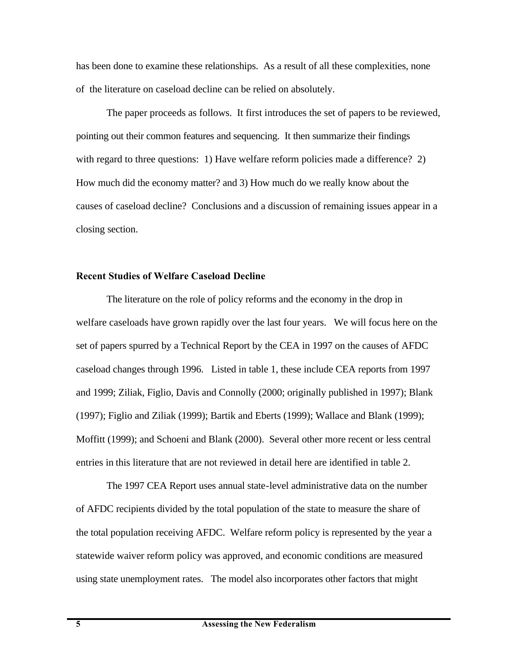has been done to examine these relationships. As a result of all these complexities, none of the literature on caseload decline can be relied on absolutely.

The paper proceeds as follows. It first introduces the set of papers to be reviewed, pointing out their common features and sequencing. It then summarize their findings with regard to three questions: 1) Have welfare reform policies made a difference? 2) How much did the economy matter? and 3) How much do we really know about the causes of caseload decline? Conclusions and a discussion of remaining issues appear in a closing section.

## **Recent Studies of Welfare Caseload Decline**

The literature on the role of policy reforms and the economy in the drop in welfare caseloads have grown rapidly over the last four years. We will focus here on the set of papers spurred by a Technical Report by the CEA in 1997 on the causes of AFDC caseload changes through 1996. Listed in table 1, these include CEA reports from 1997 and 1999; Ziliak, Figlio, Davis and Connolly (2000; originally published in 1997); Blank (1997); Figlio and Ziliak (1999); Bartik and Eberts (1999); Wallace and Blank (1999); Moffitt (1999); and Schoeni and Blank (2000). Several other more recent or less central entries in this literature that are not reviewed in detail here are identified in table 2.

The 1997 CEA Report uses annual state-level administrative data on the number of AFDC recipients divided by the total population of the state to measure the share of the total population receiving AFDC. Welfare reform policy is represented by the year a statewide waiver reform policy was approved, and economic conditions are measured using state unemployment rates. The model also incorporates other factors that might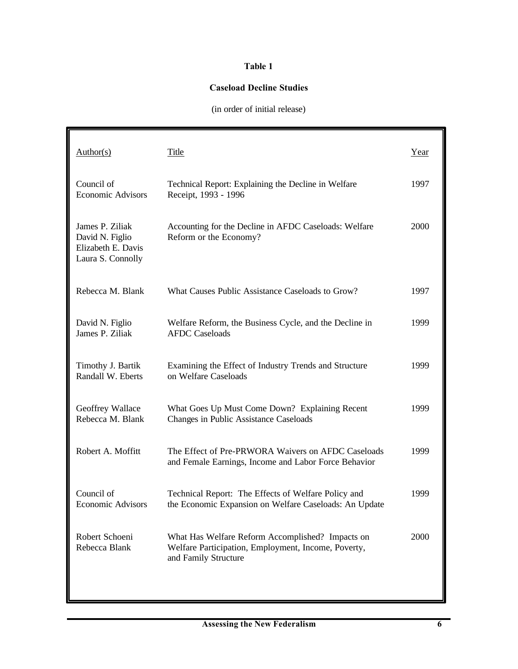## **Table 1**

#### **Caseload Decline Studies**

(in order of initial release)

| Author(s)                                                                     | Title                                                                                                                           | Year |
|-------------------------------------------------------------------------------|---------------------------------------------------------------------------------------------------------------------------------|------|
| Council of<br><b>Economic Advisors</b>                                        | Technical Report: Explaining the Decline in Welfare<br>Receipt, 1993 - 1996                                                     | 1997 |
| James P. Ziliak<br>David N. Figlio<br>Elizabeth E. Davis<br>Laura S. Connolly | Accounting for the Decline in AFDC Caseloads: Welfare<br>Reform or the Economy?                                                 | 2000 |
| Rebecca M. Blank                                                              | What Causes Public Assistance Caseloads to Grow?                                                                                | 1997 |
| David N. Figlio<br>James P. Ziliak                                            | Welfare Reform, the Business Cycle, and the Decline in<br><b>AFDC</b> Caseloads                                                 | 1999 |
| Timothy J. Bartik<br>Randall W. Eberts                                        | Examining the Effect of Industry Trends and Structure<br>on Welfare Caseloads                                                   | 1999 |
| Geoffrey Wallace<br>Rebecca M. Blank                                          | What Goes Up Must Come Down? Explaining Recent<br>Changes in Public Assistance Caseloads                                        | 1999 |
| Robert A. Moffitt                                                             | The Effect of Pre-PRWORA Waivers on AFDC Caseloads<br>and Female Earnings, Income and Labor Force Behavior                      | 1999 |
| Council of<br><b>Economic Advisors</b>                                        | Technical Report: The Effects of Welfare Policy and<br>the Economic Expansion on Welfare Caseloads: An Update                   | 1999 |
| Robert Schoeni<br>Rebecca Blank                                               | What Has Welfare Reform Accomplished? Impacts on<br>Welfare Participation, Employment, Income, Poverty,<br>and Family Structure | 2000 |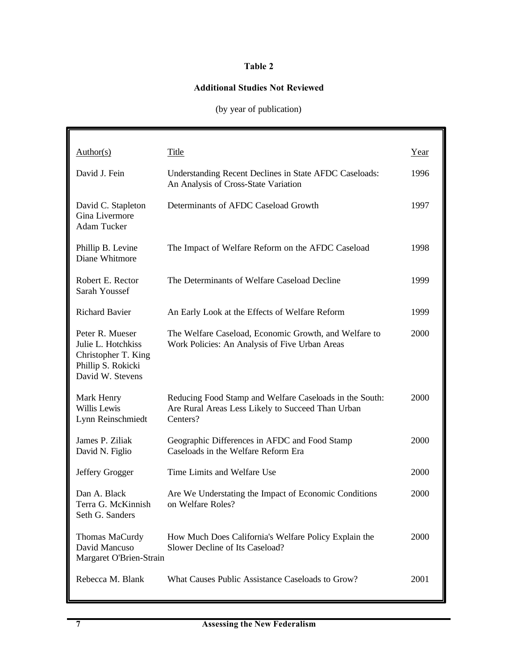#### **Table 2**

#### **Additional Studies Not Reviewed**

# (by year of publication)

| $\frac{\text{Author}(s)}{}$                                                                            | Title                                                                                                                    | Year |
|--------------------------------------------------------------------------------------------------------|--------------------------------------------------------------------------------------------------------------------------|------|
| David J. Fein                                                                                          | Understanding Recent Declines in State AFDC Caseloads:<br>An Analysis of Cross-State Variation                           | 1996 |
| David C. Stapleton<br>Gina Livermore<br><b>Adam Tucker</b>                                             | Determinants of AFDC Caseload Growth                                                                                     | 1997 |
| Phillip B. Levine<br>Diane Whitmore                                                                    | The Impact of Welfare Reform on the AFDC Caseload                                                                        | 1998 |
| Robert E. Rector<br>Sarah Youssef                                                                      | The Determinants of Welfare Caseload Decline                                                                             | 1999 |
| <b>Richard Bavier</b>                                                                                  | An Early Look at the Effects of Welfare Reform                                                                           | 1999 |
| Peter R. Mueser<br>Julie L. Hotchkiss<br>Christopher T. King<br>Phillip S. Rokicki<br>David W. Stevens | The Welfare Caseload, Economic Growth, and Welfare to<br>Work Policies: An Analysis of Five Urban Areas                  | 2000 |
| Mark Henry<br>Willis Lewis<br>Lynn Reinschmiedt                                                        | Reducing Food Stamp and Welfare Caseloads in the South:<br>Are Rural Areas Less Likely to Succeed Than Urban<br>Centers? | 2000 |
| James P. Ziliak<br>David N. Figlio                                                                     | Geographic Differences in AFDC and Food Stamp<br>Caseloads in the Welfare Reform Era                                     | 2000 |
| Jeffery Grogger                                                                                        | Time Limits and Welfare Use                                                                                              | 2000 |
| Dan A. Black<br>Terra G. McKinnish<br>Seth G. Sanders                                                  | Are We Understating the Impact of Economic Conditions<br>on Welfare Roles?                                               | 2000 |
| Thomas MaCurdy<br>David Mancuso<br>Margaret O'Brien-Strain                                             | How Much Does California's Welfare Policy Explain the<br>Slower Decline of Its Caseload?                                 | 2000 |
| Rebecca M. Blank                                                                                       | What Causes Public Assistance Caseloads to Grow?                                                                         | 2001 |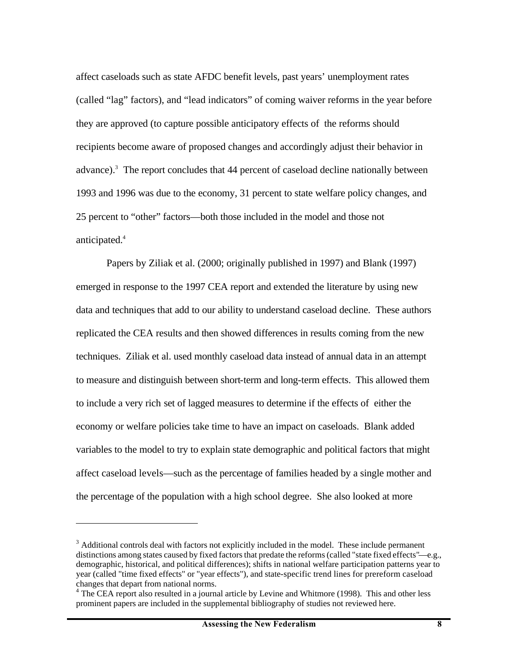affect caseloads such as state AFDC benefit levels, past years' unemployment rates (called "lag" factors), and "lead indicators" of coming waiver reforms in the year before they are approved (to capture possible anticipatory effects of the reforms should recipients become aware of proposed changes and accordingly adjust their behavior in advance).<sup>3</sup> The report concludes that 44 percent of caseload decline nationally between 1993 and 1996 was due to the economy, 31 percent to state welfare policy changes, and 25 percent to "other" factors—both those included in the model and those not anticipated.<sup>4</sup>

Papers by Ziliak et al. (2000; originally published in 1997) and Blank (1997) emerged in response to the 1997 CEA report and extended the literature by using new data and techniques that add to our ability to understand caseload decline. These authors replicated the CEA results and then showed differences in results coming from the new techniques. Ziliak et al. used monthly caseload data instead of annual data in an attempt to measure and distinguish between short-term and long-term effects. This allowed them to include a very rich set of lagged measures to determine if the effects of either the economy or welfare policies take time to have an impact on caseloads. Blank added variables to the model to try to explain state demographic and political factors that might affect caseload levels—such as the percentage of families headed by a single mother and the percentage of the population with a high school degree. She also looked at more

<sup>&</sup>lt;sup>3</sup> Additional controls deal with factors not explicitly included in the model. These include permanent distinctions among states caused by fixed factors that predate the reforms (called "state fixed effects"—e.g., demographic, historical, and political differences); shifts in national welfare participation patterns year to year (called "time fixed effects" or "year effects"), and state-specific trend lines for prereform caseload changes that depart from national norms.

<sup>&</sup>lt;sup>4</sup> The CEA report also resulted in a journal article by Levine and Whitmore (1998). This and other less prominent papers are included in the supplemental bibliography of studies not reviewed here.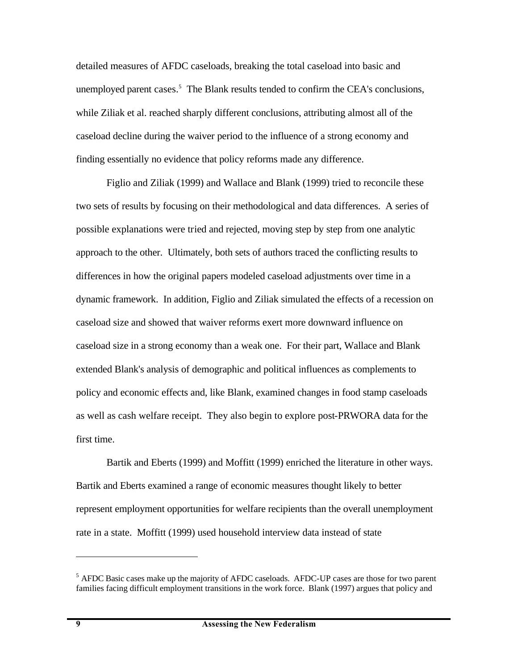detailed measures of AFDC caseloads, breaking the total caseload into basic and unemployed parent cases.<sup>5</sup> The Blank results tended to confirm the CEA's conclusions, while Ziliak et al. reached sharply different conclusions, attributing almost all of the caseload decline during the waiver period to the influence of a strong economy and finding essentially no evidence that policy reforms made any difference.

Figlio and Ziliak (1999) and Wallace and Blank (1999) tried to reconcile these two sets of results by focusing on their methodological and data differences. A series of possible explanations were tried and rejected, moving step by step from one analytic approach to the other. Ultimately, both sets of authors traced the conflicting results to differences in how the original papers modeled caseload adjustments over time in a dynamic framework. In addition, Figlio and Ziliak simulated the effects of a recession on caseload size and showed that waiver reforms exert more downward influence on caseload size in a strong economy than a weak one. For their part, Wallace and Blank extended Blank's analysis of demographic and political influences as complements to policy and economic effects and, like Blank, examined changes in food stamp caseloads as well as cash welfare receipt. They also begin to explore post-PRWORA data for the first time.

Bartik and Eberts (1999) and Moffitt (1999) enriched the literature in other ways. Bartik and Eberts examined a range of economic measures thought likely to better represent employment opportunities for welfare recipients than the overall unemployment rate in a state. Moffitt (1999) used household interview data instead of state

<sup>&</sup>lt;sup>5</sup> AFDC Basic cases make up the majority of AFDC caseloads. AFDC-UP cases are those for two parent families facing difficult employment transitions in the work force. Blank (1997) argues that policy and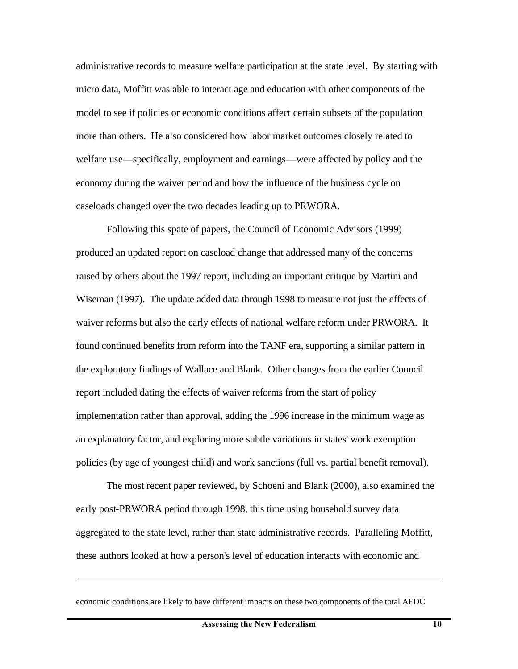administrative records to measure welfare participation at the state level. By starting with micro data, Moffitt was able to interact age and education with other components of the model to see if policies or economic conditions affect certain subsets of the population more than others. He also considered how labor market outcomes closely related to welfare use—specifically, employment and earnings—were affected by policy and the economy during the waiver period and how the influence of the business cycle on caseloads changed over the two decades leading up to PRWORA.

Following this spate of papers, the Council of Economic Advisors (1999) produced an updated report on caseload change that addressed many of the concerns raised by others about the 1997 report, including an important critique by Martini and Wiseman (1997). The update added data through 1998 to measure not just the effects of waiver reforms but also the early effects of national welfare reform under PRWORA. It found continued benefits from reform into the TANF era, supporting a similar pattern in the exploratory findings of Wallace and Blank. Other changes from the earlier Council report included dating the effects of waiver reforms from the start of policy implementation rather than approval, adding the 1996 increase in the minimum wage as an explanatory factor, and exploring more subtle variations in states' work exemption policies (by age of youngest child) and work sanctions (full vs. partial benefit removal).

The most recent paper reviewed, by Schoeni and Blank (2000), also examined the early post-PRWORA period through 1998, this time using household survey data aggregated to the state level, rather than state administrative records. Paralleling Moffitt, these authors looked at how a person's level of education interacts with economic and

economic conditions are likely to have different impacts on these two components of the total AFDC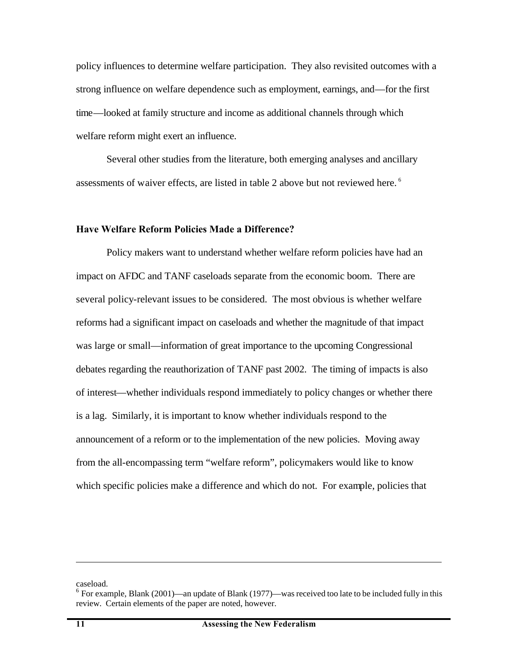policy influences to determine welfare participation. They also revisited outcomes with a strong influence on welfare dependence such as employment, earnings, and—for the first time—looked at family structure and income as additional channels through which welfare reform might exert an influence.

Several other studies from the literature, both emerging analyses and ancillary assessments of waiver effects, are listed in table 2 above but not reviewed here. <sup>6</sup>

#### **Have Welfare Reform Policies Made a Difference?**

Policy makers want to understand whether welfare reform policies have had an impact on AFDC and TANF caseloads separate from the economic boom. There are several policy-relevant issues to be considered. The most obvious is whether welfare reforms had a significant impact on caseloads and whether the magnitude of that impact was large or small—information of great importance to the upcoming Congressional debates regarding the reauthorization of TANF past 2002. The timing of impacts is also of interest—whether individuals respond immediately to policy changes or whether there is a lag. Similarly, it is important to know whether individuals respond to the announcement of a reform or to the implementation of the new policies. Moving away from the all-encompassing term "welfare reform", policymakers would like to know which specific policies make a difference and which do not. For example, policies that

caseload.

1

 $6$  For example, Blank (2001)—an update of Blank (1977)—was received too late to be included fully in this review. Certain elements of the paper are noted, however.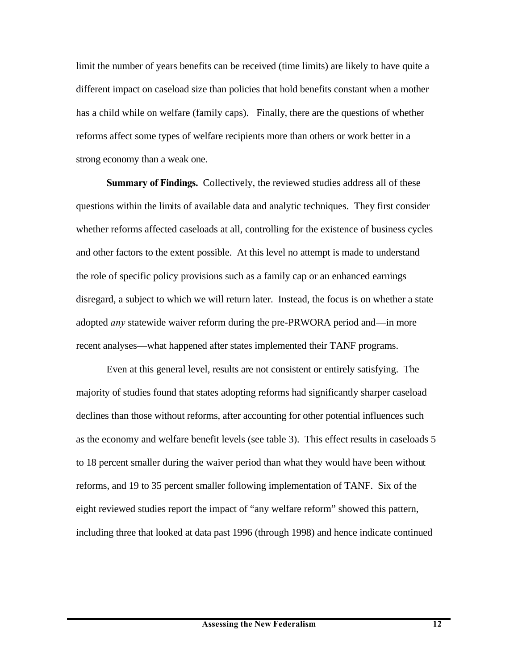limit the number of years benefits can be received (time limits) are likely to have quite a different impact on caseload size than policies that hold benefits constant when a mother has a child while on welfare (family caps). Finally, there are the questions of whether reforms affect some types of welfare recipients more than others or work better in a strong economy than a weak one.

**Summary of Findings.** Collectively, the reviewed studies address all of these questions within the limits of available data and analytic techniques. They first consider whether reforms affected caseloads at all, controlling for the existence of business cycles and other factors to the extent possible. At this level no attempt is made to understand the role of specific policy provisions such as a family cap or an enhanced earnings disregard, a subject to which we will return later. Instead, the focus is on whether a state adopted *any* statewide waiver reform during the pre-PRWORA period and—in more recent analyses—what happened after states implemented their TANF programs.

Even at this general level, results are not consistent or entirely satisfying. The majority of studies found that states adopting reforms had significantly sharper caseload declines than those without reforms, after accounting for other potential influences such as the economy and welfare benefit levels (see table 3). This effect results in caseloads 5 to 18 percent smaller during the waiver period than what they would have been without reforms, and 19 to 35 percent smaller following implementation of TANF. Six of the eight reviewed studies report the impact of "any welfare reform" showed this pattern, including three that looked at data past 1996 (through 1998) and hence indicate continued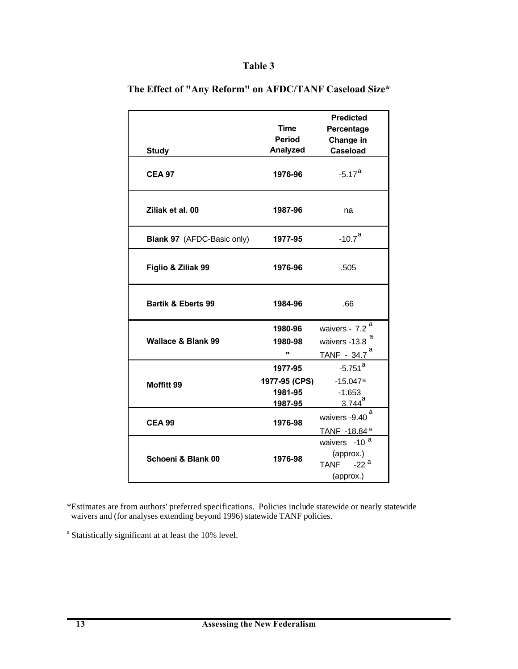## **Table 3**

| <b>Study</b>                      | Time<br>Period<br>Analyzed                     | <b>Predicted</b><br>Percentage<br>Change in<br><b>Caseload</b>                 |
|-----------------------------------|------------------------------------------------|--------------------------------------------------------------------------------|
| <b>CEA 97</b>                     | 1976-96                                        | $-5.17^{a}$                                                                    |
| Ziliak et al. 00                  | 1987-96                                        | na                                                                             |
| <b>Blank 97</b> (AFDC-Basic only) | 1977-95                                        | $-10.7a$                                                                       |
| Figlio & Ziliak 99                | 1976-96                                        | .505                                                                           |
| <b>Bartik &amp; Eberts 99</b>     | 1984-96                                        | .66                                                                            |
| <b>Wallace &amp; Blank 99</b>     | 1980-96<br>1980-98<br>u,                       | waivers - 7.2 <sup>a</sup><br>a<br>waivers -13.8<br>$TANF - 34.7$ <sup>a</sup> |
| Moffitt 99                        | 1977-95<br>1977-95 (CPS)<br>1981-95<br>1987-95 | $-5.751$ <sup>a</sup><br>$-15.047a$<br>$-1.653$<br>$3.744$ <sup>a</sup>        |
| <b>CEA 99</b>                     | 1976-98                                        | а<br>waivers -9.40<br>TANF -18.84 <sup>a</sup>                                 |
| Schoeni & Blank 00                | 1976-98                                        | waivers -10 <sup>a</sup><br>(approx.)<br>TANF $-22^a$<br>(approx.)             |

**The Effect of "Any Reform" on AFDC/TANF Caseload Size\***

\*Estimates are from authors' preferred specifications. Policies include statewide or nearly statewide waivers and (for analyses extending beyond 1996) statewide TANF policies.

<sup>a</sup> Statistically significant at at least the 10% level.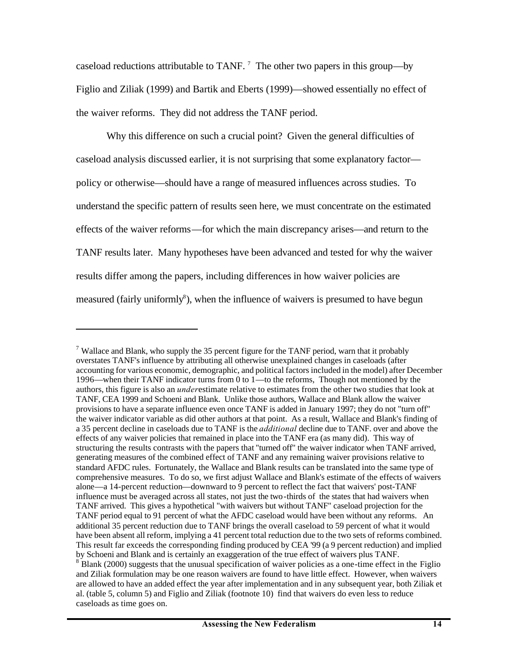caseload reductions attributable to TANF.<sup>7</sup> The other two papers in this group—by Figlio and Ziliak (1999) and Bartik and Eberts (1999)—showed essentially no effect of the waiver reforms. They did not address the TANF period.

Why this difference on such a crucial point? Given the general difficulties of caseload analysis discussed earlier, it is not surprising that some explanatory factor policy or otherwise—should have a range of measured influences across studies. To understand the specific pattern of results seen here, we must concentrate on the estimated effects of the waiver reforms—for which the main discrepancy arises—and return to the TANF results later. Many hypotheses have been advanced and tested for why the waiver results differ among the papers, including differences in how waiver policies are measured (fairly uniformly<sup>8</sup>), when the influence of waivers is presumed to have begun

1

<sup>&</sup>lt;sup>7</sup> Wallace and Blank, who supply the 35 percent figure for the TANF period, warn that it probably overstates TANF's influence by attributing all otherwise unexplained changes in caseloads (after accounting for various economic, demographic, and political factors included in the model) after December 1996—when their TANF indicator turns from 0 to 1—to the reforms, Though not mentioned by the authors, this figure is also an *under*estimate relative to estimates from the other two studies that look at TANF, CEA 1999 and Schoeni and Blank. Unlike those authors, Wallace and Blank allow the waiver provisions to have a separate influence even once TANF is added in January 1997; they do not "turn off" the waiver indicator variable as did other authors at that point. As a result, Wallace and Blank's finding of a 35 percent decline in caseloads due to TANF is the *additional* decline due to TANF. over and above the effects of any waiver policies that remained in place into the TANF era (as many did). This way of structuring the results contrasts with the papers that "turned off" the waiver indicator when TANF arrived, generating measures of the combined effect of TANF and any remaining waiver provisions relative to standard AFDC rules. Fortunately, the Wallace and Blank results can be translated into the same type of comprehensive measures. To do so, we first adjust Wallace and Blank's estimate of the effects of waivers alone—a 14-percent reduction—downward to 9 percent to reflect the fact that waivers' post-TANF influence must be averaged across all states, not just the two-thirds of the states that had waivers when TANF arrived. This gives a hypothetical "with waivers but without TANF" caseload projection for the TANF period equal to 91 percent of what the AFDC caseload would have been without any reforms. An additional 35 percent reduction due to TANF brings the overall caseload to 59 percent of what it would have been absent all reform, implying a 41 percent total reduction due to the two sets of reforms combined. This result far exceeds the corresponding finding produced by CEA '99 (a 9 percent reduction) and implied by Schoeni and Blank and is certainly an exaggeration of the true effect of waivers plus TANF.  $8^{8}$  Blank (2000) suggests that the unusual specification of waiver policies as a one-time effect in the Figlio and Ziliak formulation may be one reason waivers are found to have little effect. However, when waivers are allowed to have an added effect the year after implementation and in any subsequent year, both Ziliak et al. (table 5, column 5) and Figlio and Ziliak (footnote 10) find that waivers do even less to reduce caseloads as time goes on.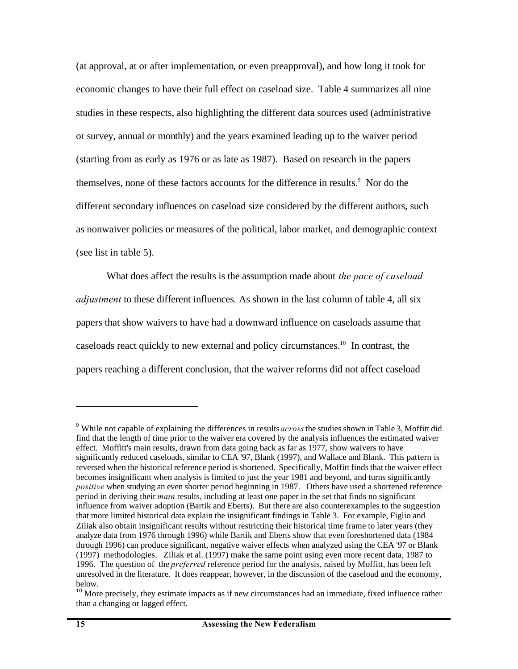(at approval, at or after implementation, or even preapproval), and how long it took for economic changes to have their full effect on caseload size. Table 4 summarizes all nine studies in these respects, also highlighting the different data sources used (administrative or survey, annual or monthly) and the years examined leading up to the waiver period (starting from as early as 1976 or as late as 1987). Based on research in the papers themselves, none of these factors accounts for the difference in results.<sup>9</sup> Nor do the different secondary influences on caseload size considered by the different authors, such as nonwaiver policies or measures of the political, labor market, and demographic context (see list in table 5).

What does affect the results is the assumption made about *the pace of caseload adjustment* to these different influences*.* As shown in the last column of table 4, all six papers that show waivers to have had a downward influence on caseloads assume that caseloads react quickly to new external and policy circumstances.<sup>10</sup> In contrast, the papers reaching a different conclusion, that the waiver reforms did not affect caseload

1

<sup>9</sup> While not capable of explaining the differences in results *across* the studies shown in Table 3, Moffitt did find that the length of time prior to the waiver era covered by the analysis influences the estimated waiver effect. Moffitt's main results, drawn from data going back as far as 1977, show waivers to have significantly reduced caseloads, similar to CEA '97, Blank (1997), and Wallace and Blank. This pattern is reversed when the historical reference period is shortened. Specifically, Moffitt finds that the waiver effect becomes insignificant when analysis is limited to just the year 1981 and beyond, and turns significantly *positive* when studying an even shorter period beginning in 1987. Others have used a shortened reference period in deriving their *main* results, including at least one paper in the set that finds no significant influence from waiver adoption (Bartik and Eberts). But there are also counterexamples to the suggestion that more limited historical data explain the insignificant findings in Table 3. For example, Figlio and Ziliak also obtain insignificant results without restricting their historical time frame to later years (they analyze data from 1976 through 1996) while Bartik and Eberts show that even foreshortened data (1984 through 1996) can produce significant, negative waiver effects when analyzed using the CEA '97 or Blank (1997) methodologies. Ziliak et al. (1997) make the same point using even more recent data, 1987 to 1996. The question of the *preferred* reference period for the analysis, raised by Moffitt, has been left unresolved in the literature. It does reappear, however, in the discussion of the caseload and the economy, below.

<sup>&</sup>lt;sup>10</sup> More precisely, they estimate impacts as if new circumstances had an immediate, fixed influence rather than a changing or lagged effect.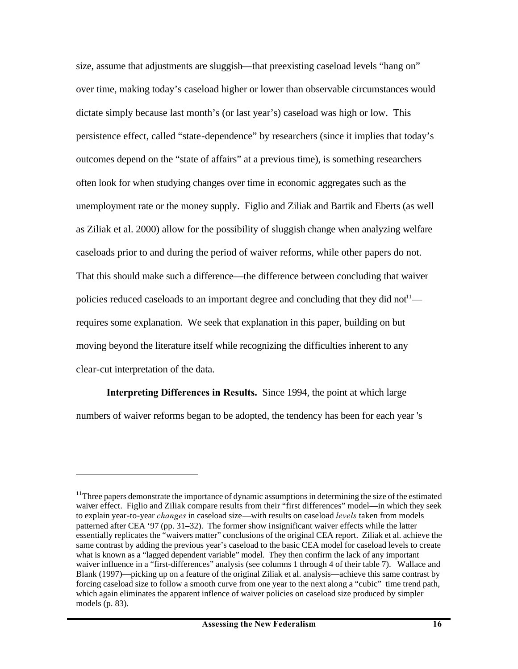size, assume that adjustments are sluggish—that preexisting caseload levels "hang on" over time, making today's caseload higher or lower than observable circumstances would dictate simply because last month's (or last year's) caseload was high or low. This persistence effect, called "state-dependence" by researchers (since it implies that today's outcomes depend on the "state of affairs" at a previous time), is something researchers often look for when studying changes over time in economic aggregates such as the unemployment rate or the money supply. Figlio and Ziliak and Bartik and Eberts (as well as Ziliak et al. 2000) allow for the possibility of sluggish change when analyzing welfare caseloads prior to and during the period of waiver reforms, while other papers do not. That this should make such a difference—the difference between concluding that waiver policies reduced caseloads to an important degree and concluding that they did not<sup> $11$ </sup> requires some explanation. We seek that explanation in this paper, building on but moving beyond the literature itself while recognizing the difficulties inherent to any clear-cut interpretation of the data.

**Interpreting Differences in Results.** Since 1994, the point at which large numbers of waiver reforms began to be adopted, the tendency has been for each year 's

<sup>&</sup>lt;sup>11</sup>Three papers demonstrate the importance of dynamic assumptions in determining the size of the estimated waiver effect. Figlio and Ziliak compare results from their "first differences" model—in which they seek to explain year-to-year *changes* in caseload size—with results on caseload *levels* taken from models patterned after CEA '97 (pp. 31–32). The former show insignificant waiver effects while the latter essentially replicates the "waivers matter" conclusions of the original CEA report. Ziliak et al. achieve the same contrast by adding the previous year's caseload to the basic CEA model for caseload levels to create what is known as a "lagged dependent variable" model. They then confirm the lack of any important waiver influence in a "first-differences" analysis (see columns 1 through 4 of their table 7). Wallace and Blank (1997)—picking up on a feature of the original Ziliak et al. analysis—achieve this same contrast by forcing caseload size to follow a smooth curve from one year to the next along a "cubic" time trend path, which again eliminates the apparent inflence of waiver policies on caseload size produced by simpler models (p. 83).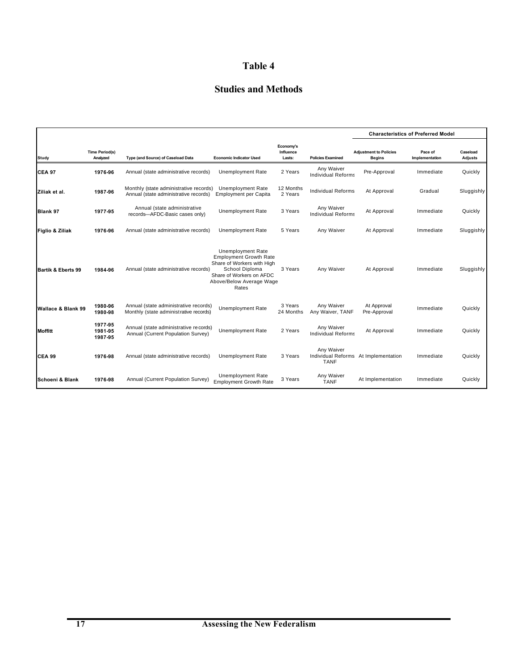# **Table 4**

# **Studies and Methods**

|                    |                                   |                                                                                  |                                                                                                                                                                            |                                  |                                         |                                                | <b>Characteristics of Preferred Model</b> |                     |  |
|--------------------|-----------------------------------|----------------------------------------------------------------------------------|----------------------------------------------------------------------------------------------------------------------------------------------------------------------------|----------------------------------|-----------------------------------------|------------------------------------------------|-------------------------------------------|---------------------|--|
| Study              | <b>Time Period(s)</b><br>Analyzed | Type (and Source) of Caseload Data                                               | <b>Economic Indicator Used</b>                                                                                                                                             | Economy's<br>Influence<br>Lasts: | <b>Policies Examined</b>                | <b>Adjustment to Policies</b><br><b>Begins</b> | Pace of<br>Implementation                 | Caseload<br>Adjusts |  |
| ICEA 97            | 1976-96                           | Annual (state administrative records)                                            | <b>Unemployment Rate</b>                                                                                                                                                   | 2 Years                          | Any Waiver<br><b>Individual Reforms</b> | Pre-Approval                                   | Immediate                                 | Quickly             |  |
| Ziliak et al.      | 1987 96                           | Monthly (state administrative records)<br>Annual (state administrative records)  | <b>Unemployment Rate</b><br><b>Employment per Capita</b>                                                                                                                   | 12 Months<br>2 Years             | <b>Individual Reforms</b>               | At Approval                                    | Gradual                                   | Sluggishly          |  |
| Blank 97           | 1977-95                           | Annual (state administrative<br>records-AFDC-Basic cases only)                   | <b>Unemployment Rate</b>                                                                                                                                                   | 3 Years                          | Any Waiver<br><b>Individual Reforms</b> | At Approval                                    | Immediate                                 | Quickly             |  |
| Figlio & Ziliak    | 1976-96                           | Annual (state administrative records)                                            | <b>Unemployment Rate</b>                                                                                                                                                   | 5 Years                          | Any Waiver                              | At Approval                                    | Immediate                                 | Sluggishly          |  |
| Bartik & Eberts 99 | 1984-96                           | Annual (state administrative records)                                            | <b>Unemployment Rate</b><br><b>Employment Growth Rate</b><br>Share of Workers with High<br>School Diploma<br>Share of Workers on AFDC<br>Above/Below Average Wage<br>Rates | 3 Years                          | Any Waiver                              | At Approval                                    | Immediate                                 | Sluggishly          |  |
| Wallace & Blank 99 | 1980-96<br>1980-98                | Annual (state administrative records)<br>Monthly (state administ rative records) | <b>Unemployment Rate</b>                                                                                                                                                   | 3 Years<br>24 Months             | Any Waiver<br>Any Waiver, TANF          | At Approval<br>Pre-Approval                    | Immediate                                 | Quickly             |  |
| <b>Moffitt</b>     | 1977-95<br>1981 95<br>1987-95     | Annual (state administrative records)<br>Annual (Current Population Survey)      | <b>Unemployment Rate</b>                                                                                                                                                   | 2 Years                          | Any Waiver<br><b>Individual Reforms</b> | At Approval                                    | Immediate                                 | Quickly             |  |
| <b>CEA 99</b>      | 1976-98                           | Annual (state administrative records)                                            | <b>Unemployment Rate</b>                                                                                                                                                   | 3 Years                          | Any Waiver<br><b>TANF</b>               | Individual Reforms At Implementation           | Immediate                                 | Quickly             |  |
| İSchoeni & Blank   | 1976-98                           | Annual (Current Population Survey)                                               | <b>Unemployment Rate</b><br><b>Employment Growth Rate</b>                                                                                                                  | 3 Years                          | Any Waiver<br><b>TANF</b>               | At Implementation                              | Immediate                                 | Quickly             |  |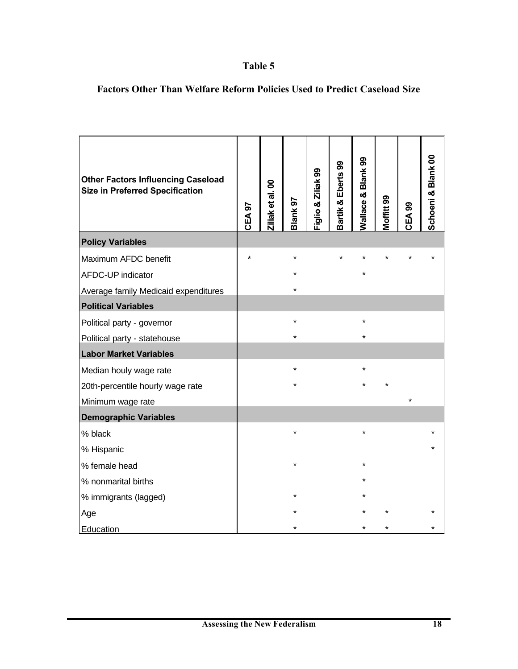# **Table 5**

| <b>Other Factors Influencing Caseload</b><br><b>Size in Preferred Specification</b> | CEA <sub>97</sub> | Ziliak et al. 00 | Blank 97 | Figlio & Ziliak 99 | Bartik & Eberts 99 | Wallace & Blank 99 | Moffitt 99 | CEA <sub>99</sub> | Schoeni & Blank 00 |
|-------------------------------------------------------------------------------------|-------------------|------------------|----------|--------------------|--------------------|--------------------|------------|-------------------|--------------------|
| <b>Policy Variables</b>                                                             |                   |                  |          |                    |                    |                    |            |                   |                    |
| Maximum AFDC benefit                                                                | $\star$           |                  | $\star$  |                    | $\star$            |                    |            |                   |                    |
| AFDC-UP indicator                                                                   |                   |                  |          |                    |                    |                    |            |                   |                    |
| Average family Medicaid expenditures                                                |                   |                  |          |                    |                    |                    |            |                   |                    |
| <b>Political Variables</b>                                                          |                   |                  |          |                    |                    |                    |            |                   |                    |
| Political party - governor                                                          |                   |                  | $\star$  |                    |                    | $\star$            |            |                   |                    |
| Political party - statehouse                                                        |                   |                  | $\star$  |                    |                    |                    |            |                   |                    |
| <b>Labor Market Variables</b>                                                       |                   |                  |          |                    |                    |                    |            |                   |                    |
| Median houly wage rate                                                              |                   |                  | $\star$  |                    |                    | $\star$            |            |                   |                    |
| 20th-percentile hourly wage rate                                                    |                   |                  | $\star$  |                    |                    |                    |            |                   |                    |
| Minimum wage rate                                                                   |                   |                  |          |                    |                    |                    |            |                   |                    |
| <b>Demographic Variables</b>                                                        |                   |                  |          |                    |                    |                    |            |                   |                    |
| % black                                                                             |                   |                  | $\star$  |                    |                    | $\star$            |            |                   |                    |
| % Hispanic                                                                          |                   |                  |          |                    |                    |                    |            |                   |                    |
| % female head                                                                       |                   |                  | $\star$  |                    |                    | $^\star$           |            |                   |                    |
| % nonmarital births                                                                 |                   |                  |          |                    |                    |                    |            |                   |                    |
| % immigrants (lagged)                                                               |                   |                  |          |                    |                    |                    |            |                   |                    |
| Age                                                                                 |                   |                  |          |                    |                    |                    |            |                   |                    |
| Education                                                                           |                   |                  |          |                    |                    |                    |            |                   |                    |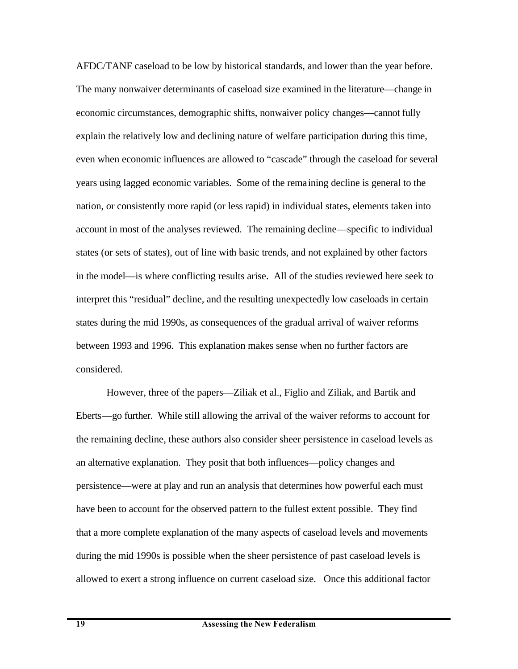AFDC/TANF caseload to be low by historical standards, and lower than the year before. The many nonwaiver determinants of caseload size examined in the literature—change in economic circumstances, demographic shifts, nonwaiver policy changes—cannot fully explain the relatively low and declining nature of welfare participation during this time, even when economic influences are allowed to "cascade" through the caseload for several years using lagged economic variables. Some of the remaining decline is general to the nation, or consistently more rapid (or less rapid) in individual states, elements taken into account in most of the analyses reviewed. The remaining decline—specific to individual states (or sets of states), out of line with basic trends, and not explained by other factors in the model—is where conflicting results arise. All of the studies reviewed here seek to interpret this "residual" decline, and the resulting unexpectedly low caseloads in certain states during the mid 1990s, as consequences of the gradual arrival of waiver reforms between 1993 and 1996. This explanation makes sense when no further factors are considered.

However, three of the papers—Ziliak et al., Figlio and Ziliak, and Bartik and Eberts—go further. While still allowing the arrival of the waiver reforms to account for the remaining decline, these authors also consider sheer persistence in caseload levels as an alternative explanation. They posit that both influences—policy changes and persistence—were at play and run an analysis that determines how powerful each must have been to account for the observed pattern to the fullest extent possible. They find that a more complete explanation of the many aspects of caseload levels and movements during the mid 1990s is possible when the sheer persistence of past caseload levels is allowed to exert a strong influence on current caseload size. Once this additional factor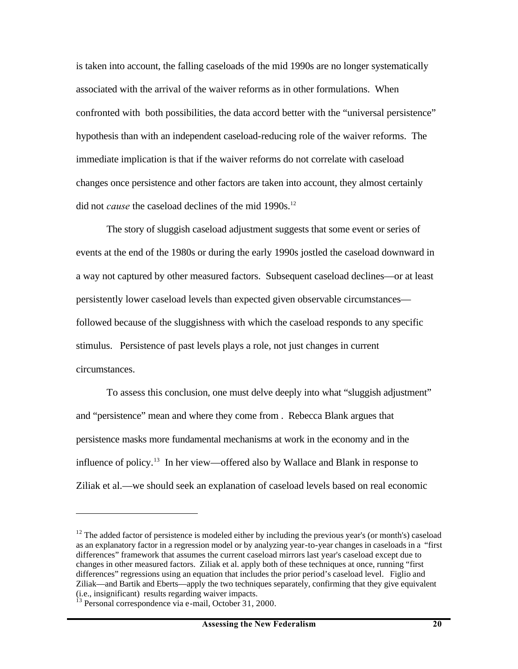is taken into account, the falling caseloads of the mid 1990s are no longer systematically associated with the arrival of the waiver reforms as in other formulations. When confronted with both possibilities, the data accord better with the "universal persistence" hypothesis than with an independent caseload-reducing role of the waiver reforms. The immediate implication is that if the waiver reforms do not correlate with caseload changes once persistence and other factors are taken into account, they almost certainly did not *cause* the caseload declines of the mid 1990s.<sup>12</sup>

The story of sluggish caseload adjustment suggests that some event or series of events at the end of the 1980s or during the early 1990s jostled the caseload downward in a way not captured by other measured factors. Subsequent caseload declines—or at least persistently lower caseload levels than expected given observable circumstances followed because of the sluggishness with which the caseload responds to any specific stimulus. Persistence of past levels plays a role, not just changes in current circumstances.

To assess this conclusion, one must delve deeply into what "sluggish adjustment" and "persistence" mean and where they come from . Rebecca Blank argues that persistence masks more fundamental mechanisms at work in the economy and in the influence of policy.<sup>13</sup> In her view—offered also by Wallace and Blank in response to Ziliak et al.—we should seek an explanation of caseload levels based on real economic

<sup>&</sup>lt;sup>12</sup> The added factor of persistence is modeled either by including the previous year's (or month's) caseload as an explanatory factor in a regression model or by analyzing year-to-year changes in caseloads in a "first differences" framework that assumes the current caseload mirrors last year's caseload except due to changes in other measured factors. Ziliak et al. apply both of these techniques at once, running "first differences" regressions using an equation that includes the prior period's caseload level. Figlio and Ziliak—and Bartik and Eberts—apply the two techniques separately, confirming that they give equivalent (i.e., insignificant) results regarding waiver impacts.

Personal correspondence via e-mail, October 31, 2000.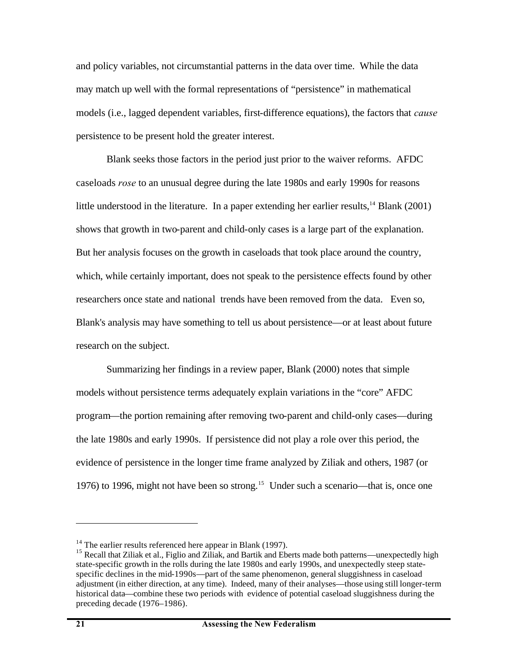and policy variables, not circumstantial patterns in the data over time. While the data may match up well with the formal representations of "persistence" in mathematical models (i.e., lagged dependent variables, first-difference equations), the factors that *cause* persistence to be present hold the greater interest.

Blank seeks those factors in the period just prior to the waiver reforms. AFDC caseloads *rose* to an unusual degree during the late 1980s and early 1990s for reasons little understood in the literature. In a paper extending her earlier results,  $^{14}$  Blank (2001) shows that growth in two-parent and child-only cases is a large part of the explanation. But her analysis focuses on the growth in caseloads that took place around the country, which, while certainly important, does not speak to the persistence effects found by other researchers once state and national trends have been removed from the data. Even so, Blank's analysis may have something to tell us about persistence—or at least about future research on the subject.

Summarizing her findings in a review paper, Blank (2000) notes that simple models without persistence terms adequately explain variations in the "core" AFDC program—the portion remaining after removing two-parent and child-only cases—during the late 1980s and early 1990s. If persistence did not play a role over this period, the evidence of persistence in the longer time frame analyzed by Ziliak and others, 1987 (or 1976) to 1996, might not have been so strong.<sup>15</sup> Under such a scenario—that is, once one

 $14$  The earlier results referenced here appear in Blank (1997).

<sup>&</sup>lt;sup>15</sup> Recall that Ziliak et al., Figlio and Ziliak, and Bartik and Eberts made both patterns—unexpectedly high state-specific growth in the rolls during the late 1980s and early 1990s, and unexpectedly steep statespecific declines in the mid-1990s—part of the same phenomenon, general sluggishness in caseload adjustment (in either direction, at any time). Indeed, many of their analyses—those using still longer-term historical data—combine these two periods with evidence of potential caseload sluggishness during the preceding decade (1976–1986).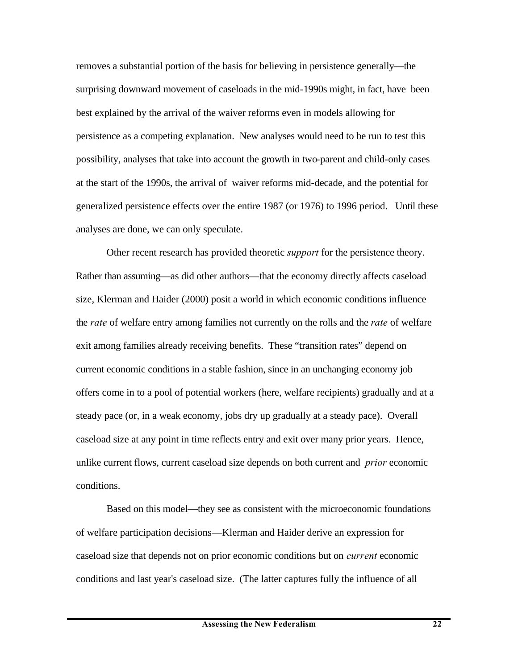removes a substantial portion of the basis for believing in persistence generally—the surprising downward movement of caseloads in the mid-1990s might, in fact, have been best explained by the arrival of the waiver reforms even in models allowing for persistence as a competing explanation. New analyses would need to be run to test this possibility, analyses that take into account the growth in two-parent and child-only cases at the start of the 1990s, the arrival of waiver reforms mid-decade, and the potential for generalized persistence effects over the entire 1987 (or 1976) to 1996 period. Until these analyses are done, we can only speculate.

Other recent research has provided theoretic *support* for the persistence theory. Rather than assuming—as did other authors—that the economy directly affects caseload size, Klerman and Haider (2000) posit a world in which economic conditions influence the *rate* of welfare entry among families not currently on the rolls and the *rate* of welfare exit among families already receiving benefits. These "transition rates" depend on current economic conditions in a stable fashion, since in an unchanging economy job offers come in to a pool of potential workers (here, welfare recipients) gradually and at a steady pace (or, in a weak economy, jobs dry up gradually at a steady pace). Overall caseload size at any point in time reflects entry and exit over many prior years. Hence, unlike current flows, current caseload size depends on both current and *prior* economic conditions.

Based on this model—they see as consistent with the microeconomic foundations of welfare participation decisions—Klerman and Haider derive an expression for caseload size that depends not on prior economic conditions but on *current* economic conditions and last year's caseload size. (The latter captures fully the influence of all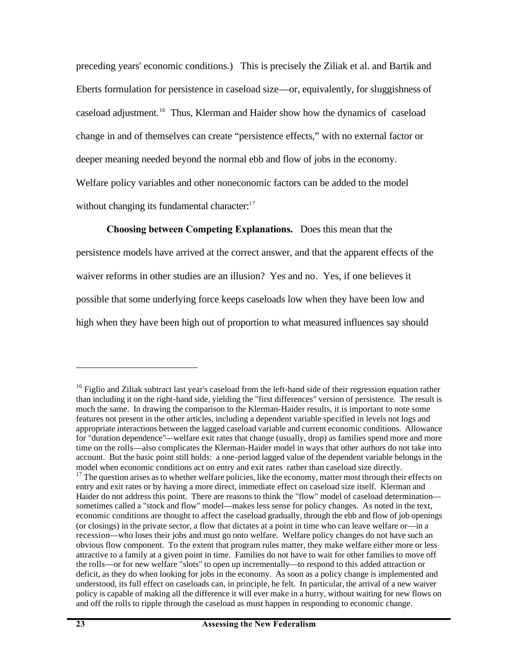preceding years' economic conditions.) This is precisely the Ziliak et al. and Bartik and Eberts formulation for persistence in caseload size—or, equivalently, for sluggishness of caseload adjustment.<sup>16</sup> Thus, Klerman and Haider show how the dynamics of caseload change in and of themselves can create "persistence effects," with no external factor or deeper meaning needed beyond the normal ebb and flow of jobs in the economy. Welfare policy variables and other noneconomic factors can be added to the model without changing its fundamental character: $17$ 

**Choosing between Competing Explanations.** Does this mean that the persistence models have arrived at the correct answer, and that the apparent effects of the waiver reforms in other studies are an illusion? Yes and no. Yes, if one believes it possible that some underlying force keeps caseloads low when they have been low and high when they have been high out of proportion to what measured influences say should

1

<sup>&</sup>lt;sup>16</sup> Figlio and Ziliak subtract last year's caseload from the left-hand side of their regression equation rather than including it on the right-hand side, yielding the "first differences" version of persistence. The result is much the same. In drawing the comparison to the Klerman-Haider results, it is important to note some features not present in the other articles, including a dependent variable specified in levels not logs and appropriate interactions between the lagged caseload variable and current economic conditions. Allowance for "duration dependence"—welfare exit rates that change (usually, drop) as families spend more and more time on the rolls—also complicates the Klerman-Haider model in ways that other authors do not take into account. But the basic point still holds: a one-period lagged value of the dependent variable belongs in the model when economic conditions act on entry and exit rates rather than caseload size directly.

<sup>&</sup>lt;sup>17</sup> The question arises as to whether welfare policies, like the economy, matter most through their effects on entry and exit rates or by having a more direct, immediate effect on caseload size itself. Klerman and Haider do not address this point. There are reasons to think the "flow" model of caseload determination sometimes called a "stock and flow" model—makes less sense for policy changes. As noted in the text, economic conditions are thought to affect the caseload gradually, through the ebb and flow of job openings (or closings) in the private sector, a flow that dictates at a point in time who can leave welfare or—in a recession—who loses their jobs and must go onto welfare. Welfare policy changes do not have such an obvious flow component. To the extent that program rules matter, they make welfare either more or less attractive to a family at a given point in time. Families do not have to wait for other families to move off the rolls—or for new welfare "slots" to open up incrementally—to respond to this added attraction or deficit, as they do when looking for jobs in the economy. As soon as a policy change is implemented and understood, its full effect on caseloads can, in principle, be felt. In particular, the arrival of a new waiver policy is capable of making all the difference it will ever make in a hurry, without waiting for new flows on and off the rolls to ripple through the caseload as must happen in responding to economic change.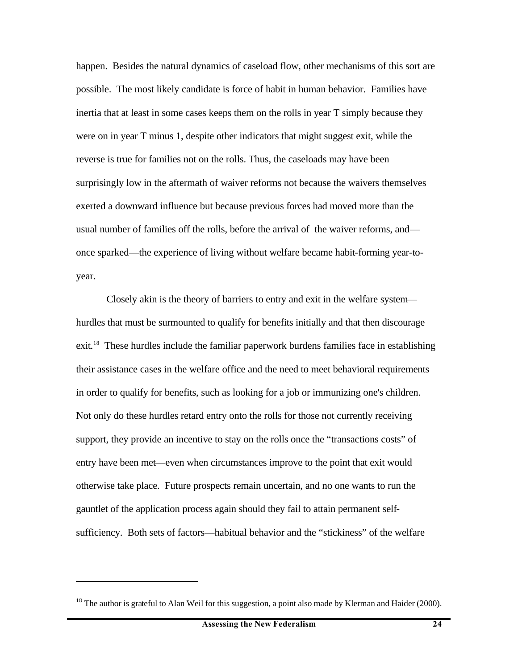happen. Besides the natural dynamics of caseload flow, other mechanisms of this sort are possible. The most likely candidate is force of habit in human behavior. Families have inertia that at least in some cases keeps them on the rolls in year T simply because they were on in year T minus 1, despite other indicators that might suggest exit, while the reverse is true for families not on the rolls. Thus, the caseloads may have been surprisingly low in the aftermath of waiver reforms not because the waivers themselves exerted a downward influence but because previous forces had moved more than the usual number of families off the rolls, before the arrival of the waiver reforms, and once sparked—the experience of living without welfare became habit-forming year-toyear.

Closely akin is the theory of barriers to entry and exit in the welfare system hurdles that must be surmounted to qualify for benefits initially and that then discourage exit.<sup>18</sup> These hurdles include the familiar paperwork burdens families face in establishing their assistance cases in the welfare office and the need to meet behavioral requirements in order to qualify for benefits, such as looking for a job or immunizing one's children. Not only do these hurdles retard entry onto the rolls for those not currently receiving support, they provide an incentive to stay on the rolls once the "transactions costs" of entry have been met—even when circumstances improve to the point that exit would otherwise take place. Future prospects remain uncertain, and no one wants to run the gauntlet of the application process again should they fail to attain permanent selfsufficiency. Both sets of factors—habitual behavior and the "stickiness" of the welfare

 $18$  The author is grateful to Alan Weil for this suggestion, a point also made by Klerman and Haider (2000).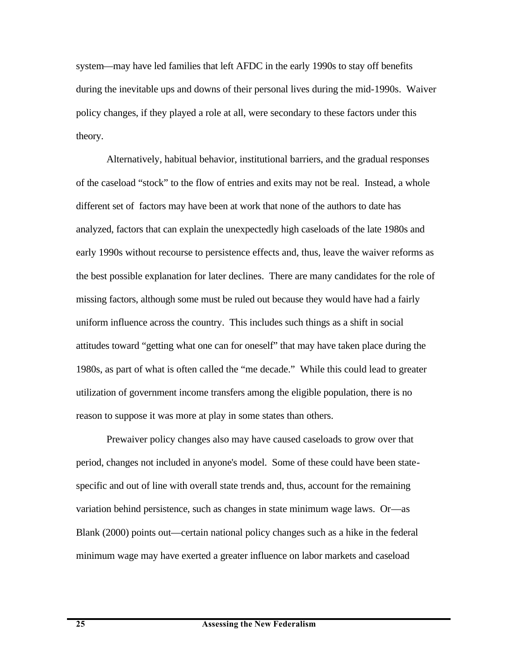system—may have led families that left AFDC in the early 1990s to stay off benefits during the inevitable ups and downs of their personal lives during the mid-1990s. Waiver policy changes, if they played a role at all, were secondary to these factors under this theory.

Alternatively, habitual behavior, institutional barriers, and the gradual responses of the caseload "stock" to the flow of entries and exits may not be real. Instead, a whole different set of factors may have been at work that none of the authors to date has analyzed, factors that can explain the unexpectedly high caseloads of the late 1980s and early 1990s without recourse to persistence effects and, thus, leave the waiver reforms as the best possible explanation for later declines. There are many candidates for the role of missing factors, although some must be ruled out because they would have had a fairly uniform influence across the country. This includes such things as a shift in social attitudes toward "getting what one can for oneself" that may have taken place during the 1980s, as part of what is often called the "me decade." While this could lead to greater utilization of government income transfers among the eligible population, there is no reason to suppose it was more at play in some states than others.

Prewaiver policy changes also may have caused caseloads to grow over that period, changes not included in anyone's model. Some of these could have been statespecific and out of line with overall state trends and, thus, account for the remaining variation behind persistence, such as changes in state minimum wage laws. Or—as Blank (2000) points out—certain national policy changes such as a hike in the federal minimum wage may have exerted a greater influence on labor markets and caseload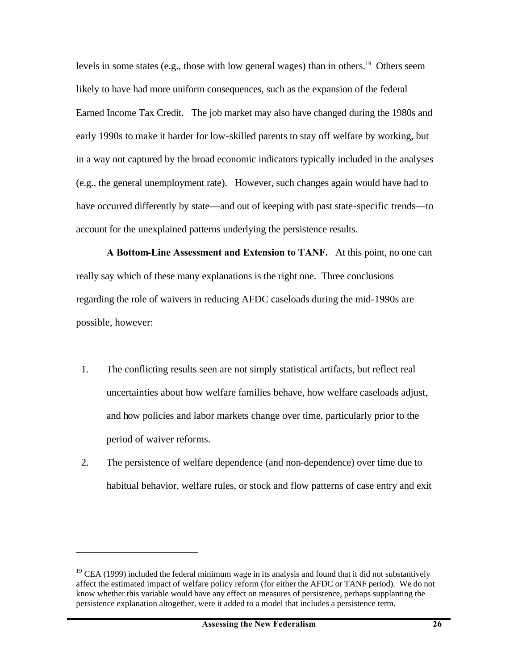levels in some states (e.g., those with low general wages) than in others.<sup>19</sup> Others seem likely to have had more uniform consequences, such as the expansion of the federal Earned Income Tax Credit. The job market may also have changed during the 1980s and early 1990s to make it harder for low-skilled parents to stay off welfare by working, but in a way not captured by the broad economic indicators typically included in the analyses (e.g., the general unemployment rate). However, such changes again would have had to have occurred differently by state—and out of keeping with past state-specific trends—to account for the unexplained patterns underlying the persistence results.

**A Bottom-Line Assessment and Extension to TANF.** At this point, no one can really say which of these many explanations is the right one. Three conclusions regarding the role of waivers in reducing AFDC caseloads during the mid-1990s are possible, however:

- 1. The conflicting results seen are not simply statistical artifacts, but reflect real uncertainties about how welfare families behave, how welfare caseloads adjust, and how policies and labor markets change over time, particularly prior to the period of waiver reforms.
- 2. The persistence of welfare dependence (and non-dependence) over time due to habitual behavior, welfare rules, or stock and flow patterns of case entry and exit

 $19$  CEA (1999) included the federal minimum wage in its analysis and found that it did not substantively affect the estimated impact of welfare policy reform (for either the AFDC or TANF period). We do not know whether this variable would have any effect on measures of persistence, perhaps supplanting the persistence explanation altogether, were it added to a model that includes a persistence term.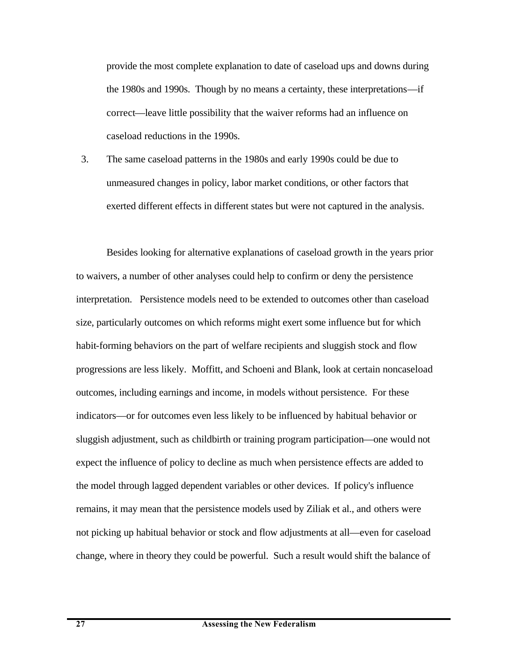provide the most complete explanation to date of caseload ups and downs during the 1980s and 1990s. Though by no means a certainty, these interpretations—if correct—leave little possibility that the waiver reforms had an influence on caseload reductions in the 1990s.

3. The same caseload patterns in the 1980s and early 1990s could be due to unmeasured changes in policy, labor market conditions, or other factors that exerted different effects in different states but were not captured in the analysis.

Besides looking for alternative explanations of caseload growth in the years prior to waivers, a number of other analyses could help to confirm or deny the persistence interpretation. Persistence models need to be extended to outcomes other than caseload size, particularly outcomes on which reforms might exert some influence but for which habit-forming behaviors on the part of welfare recipients and sluggish stock and flow progressions are less likely. Moffitt, and Schoeni and Blank, look at certain noncaseload outcomes, including earnings and income, in models without persistence. For these indicators—or for outcomes even less likely to be influenced by habitual behavior or sluggish adjustment, such as childbirth or training program participation—one would not expect the influence of policy to decline as much when persistence effects are added to the model through lagged dependent variables or other devices. If policy's influence remains, it may mean that the persistence models used by Ziliak et al., and others were not picking up habitual behavior or stock and flow adjustments at all—even for caseload change, where in theory they could be powerful. Such a result would shift the balance of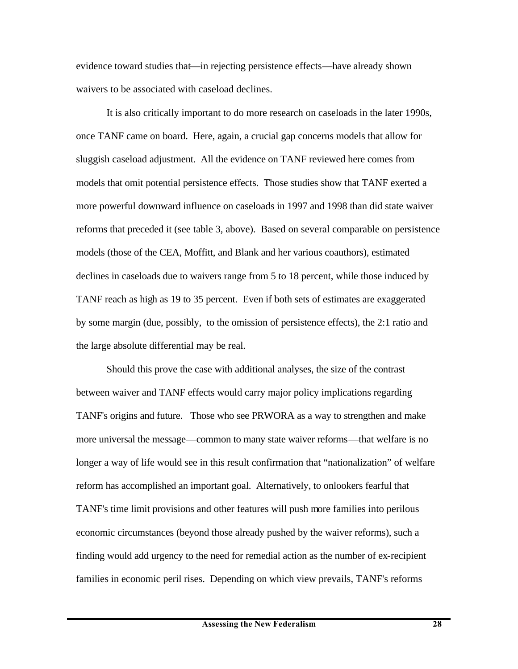evidence toward studies that—in rejecting persistence effects—have already shown waivers to be associated with caseload declines.

It is also critically important to do more research on caseloads in the later 1990s, once TANF came on board. Here, again, a crucial gap concerns models that allow for sluggish caseload adjustment. All the evidence on TANF reviewed here comes from models that omit potential persistence effects. Those studies show that TANF exerted a more powerful downward influence on caseloads in 1997 and 1998 than did state waiver reforms that preceded it (see table 3, above). Based on several comparable on persistence models (those of the CEA, Moffitt, and Blank and her various coauthors), estimated declines in caseloads due to waivers range from 5 to 18 percent, while those induced by TANF reach as high as 19 to 35 percent. Even if both sets of estimates are exaggerated by some margin (due, possibly, to the omission of persistence effects), the 2:1 ratio and the large absolute differential may be real.

Should this prove the case with additional analyses, the size of the contrast between waiver and TANF effects would carry major policy implications regarding TANF's origins and future. Those who see PRWORA as a way to strengthen and make more universal the message—common to many state waiver reforms—that welfare is no longer a way of life would see in this result confirmation that "nationalization" of welfare reform has accomplished an important goal. Alternatively, to onlookers fearful that TANF's time limit provisions and other features will push more families into perilous economic circumstances (beyond those already pushed by the waiver reforms), such a finding would add urgency to the need for remedial action as the number of ex-recipient families in economic peril rises. Depending on which view prevails, TANF's reforms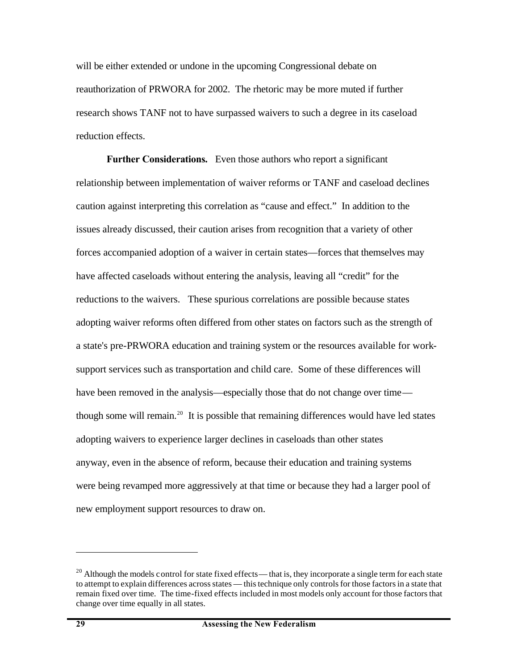will be either extended or undone in the upcoming Congressional debate on reauthorization of PRWORA for 2002. The rhetoric may be more muted if further research shows TANF not to have surpassed waivers to such a degree in its caseload reduction effects.

**Further Considerations.** Even those authors who report a significant relationship between implementation of waiver reforms or TANF and caseload declines caution against interpreting this correlation as "cause and effect." In addition to the issues already discussed, their caution arises from recognition that a variety of other forces accompanied adoption of a waiver in certain states—forces that themselves may have affected caseloads without entering the analysis, leaving all "credit" for the reductions to the waivers. These spurious correlations are possible because states adopting waiver reforms often differed from other states on factors such as the strength of a state's pre-PRWORA education and training system or the resources available for worksupport services such as transportation and child care. Some of these differences will have been removed in the analysis—especially those that do not change over time though some will remain.<sup>20</sup> It is possible that remaining differences would have led states adopting waivers to experience larger declines in caseloads than other states anyway, even in the absence of reform, because their education and training systems were being revamped more aggressively at that time or because they had a larger pool of new employment support resources to draw on.

<sup>&</sup>lt;sup>20</sup> Although the models control for state fixed effects—that is, they incorporate a single term for each state to attempt to explain differences across states — this technique only controls for those factors in a state that remain fixed over time. The time-fixed effects included in most models only account for those factors that change over time equally in all states.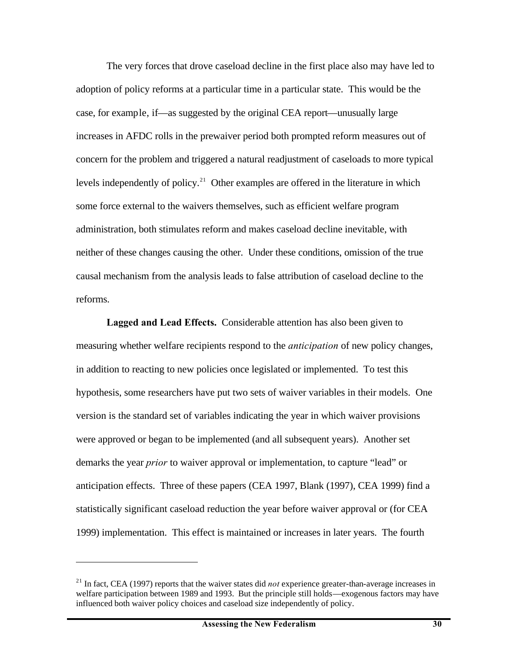The very forces that drove caseload decline in the first place also may have led to adoption of policy reforms at a particular time in a particular state. This would be the case, for example, if—as suggested by the original CEA report—unusually large increases in AFDC rolls in the prewaiver period both prompted reform measures out of concern for the problem and triggered a natural readjustment of caseloads to more typical levels independently of policy.<sup>21</sup> Other examples are offered in the literature in which some force external to the waivers themselves, such as efficient welfare program administration, both stimulates reform and makes caseload decline inevitable, with neither of these changes causing the other. Under these conditions, omission of the true causal mechanism from the analysis leads to false attribution of caseload decline to the reforms.

**Lagged and Lead Effects.** Considerable attention has also been given to measuring whether welfare recipients respond to the *anticipation* of new policy changes, in addition to reacting to new policies once legislated or implemented. To test this hypothesis, some researchers have put two sets of waiver variables in their models. One version is the standard set of variables indicating the year in which waiver provisions were approved or began to be implemented (and all subsequent years). Another set demarks the year *prior* to waiver approval or implementation, to capture "lead" or anticipation effects. Three of these papers (CEA 1997, Blank (1997), CEA 1999) find a statistically significant caseload reduction the year before waiver approval or (for CEA 1999) implementation. This effect is maintained or increases in later years. The fourth

1

<sup>21</sup> In fact, CEA (1997) reports that the waiver states did *not* experience greater-than-average increases in welfare participation between 1989 and 1993. But the principle still holds—exogenous factors may have influenced both waiver policy choices and caseload size independently of policy.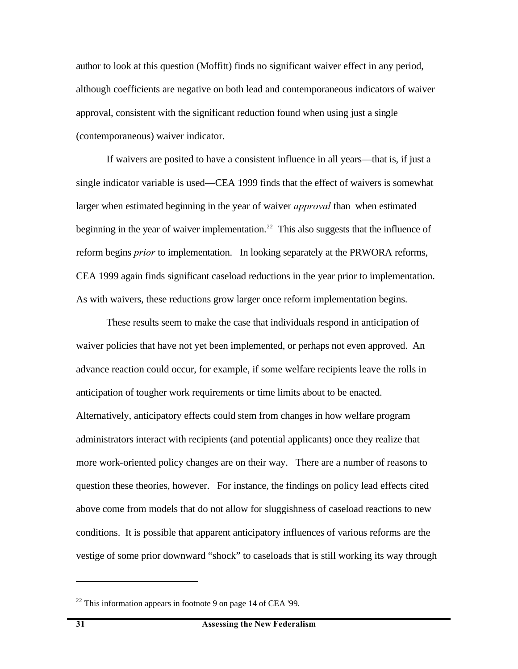author to look at this question (Moffitt) finds no significant waiver effect in any period, although coefficients are negative on both lead and contemporaneous indicators of waiver approval, consistent with the significant reduction found when using just a single (contemporaneous) waiver indicator.

If waivers are posited to have a consistent influence in all years—that is, if just a single indicator variable is used—CEA 1999 finds that the effect of waivers is somewhat larger when estimated beginning in the year of waiver *approval* than when estimated beginning in the year of waiver implementation.<sup>22</sup> This also suggests that the influence of reform begins *prior* to implementation. In looking separately at the PRWORA reforms, CEA 1999 again finds significant caseload reductions in the year prior to implementation. As with waivers, these reductions grow larger once reform implementation begins.

These results seem to make the case that individuals respond in anticipation of waiver policies that have not yet been implemented, or perhaps not even approved. An advance reaction could occur, for example, if some welfare recipients leave the rolls in anticipation of tougher work requirements or time limits about to be enacted. Alternatively, anticipatory effects could stem from changes in how welfare program administrators interact with recipients (and potential applicants) once they realize that more work-oriented policy changes are on their way. There are a number of reasons to question these theories, however. For instance, the findings on policy lead effects cited above come from models that do not allow for sluggishness of caseload reactions to new conditions. It is possible that apparent anticipatory influences of various reforms are the vestige of some prior downward "shock" to caseloads that is still working its way through

 $22$  This information appears in footnote 9 on page 14 of CEA '99.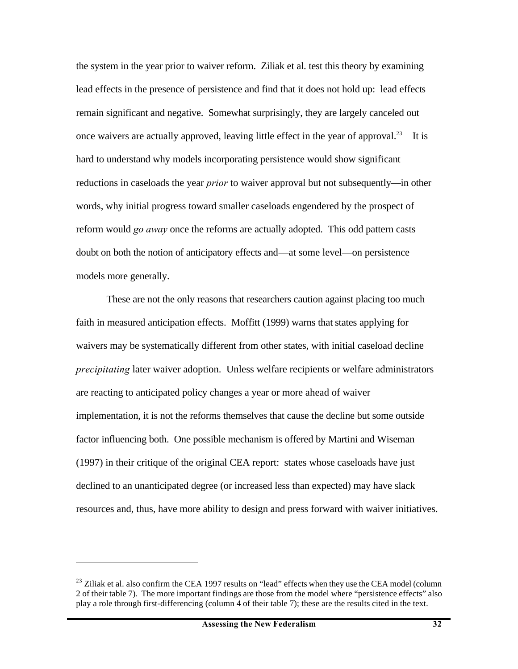the system in the year prior to waiver reform. Ziliak et al. test this theory by examining lead effects in the presence of persistence and find that it does not hold up: lead effects remain significant and negative. Somewhat surprisingly, they are largely canceled out once waivers are actually approved, leaving little effect in the year of approval.<sup>23</sup> It is hard to understand why models incorporating persistence would show significant reductions in caseloads the year *prior* to waiver approval but not subsequently—in other words, why initial progress toward smaller caseloads engendered by the prospect of reform would *go away* once the reforms are actually adopted. This odd pattern casts doubt on both the notion of anticipatory effects and—at some level—on persistence models more generally.

These are not the only reasons that researchers caution against placing too much faith in measured anticipation effects. Moffitt (1999) warns that states applying for waivers may be systematically different from other states, with initial caseload decline *precipitating* later waiver adoption. Unless welfare recipients or welfare administrators are reacting to anticipated policy changes a year or more ahead of waiver implementation, it is not the reforms themselves that cause the decline but some outside factor influencing both. One possible mechanism is offered by Martini and Wiseman (1997) in their critique of the original CEA report: states whose caseloads have just declined to an unanticipated degree (or increased less than expected) may have slack resources and, thus, have more ability to design and press forward with waiver initiatives.

<sup>&</sup>lt;sup>23</sup> Ziliak et al. also confirm the CEA 1997 results on "lead" effects when they use the CEA model (column 2 of their table 7). The more important findings are those from the model where "persistence effects" also play a role through first-differencing (column 4 of their table 7); these are the results cited in the text.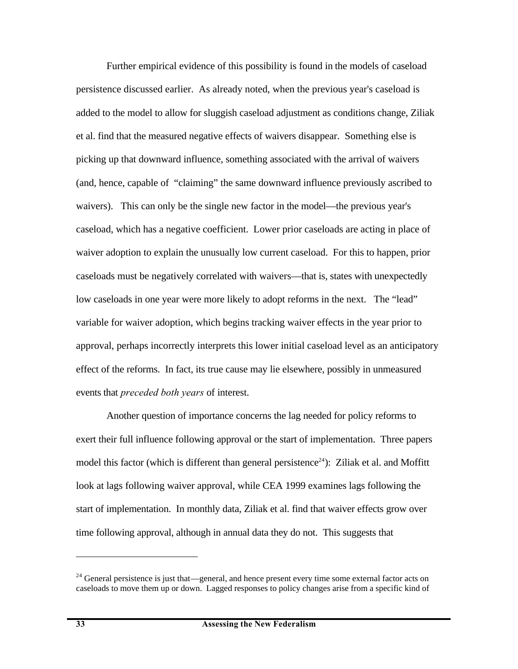Further empirical evidence of this possibility is found in the models of caseload persistence discussed earlier. As already noted, when the previous year's caseload is added to the model to allow for sluggish caseload adjustment as conditions change, Ziliak et al. find that the measured negative effects of waivers disappear. Something else is picking up that downward influence, something associated with the arrival of waivers (and, hence, capable of "claiming" the same downward influence previously ascribed to waivers). This can only be the single new factor in the model—the previous year's caseload, which has a negative coefficient. Lower prior caseloads are acting in place of waiver adoption to explain the unusually low current caseload. For this to happen, prior caseloads must be negatively correlated with waivers—that is, states with unexpectedly low caseloads in one year were more likely to adopt reforms in the next. The "lead" variable for waiver adoption, which begins tracking waiver effects in the year prior to approval, perhaps incorrectly interprets this lower initial caseload level as an anticipatory effect of the reforms. In fact, its true cause may lie elsewhere, possibly in unmeasured events that *preceded both years* of interest.

Another question of importance concerns the lag needed for policy reforms to exert their full influence following approval or the start of implementation. Three papers model this factor (which is different than general persistence<sup>24</sup>): Ziliak et al. and Moffitt look at lags following waiver approval, while CEA 1999 examines lags following the start of implementation. In monthly data, Ziliak et al. find that waiver effects grow over time following approval, although in annual data they do not. This suggests that

<sup>&</sup>lt;sup>24</sup> General persistence is just that—general, and hence present every time some external factor acts on caseloads to move them up or down. Lagged responses to policy changes arise from a specific kind of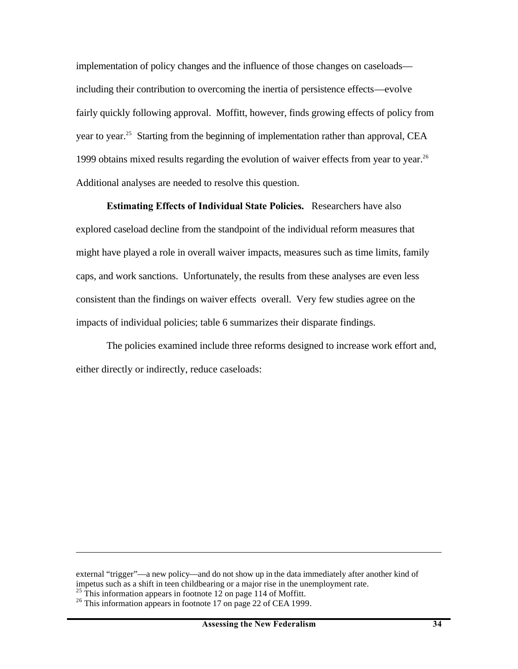implementation of policy changes and the influence of those changes on caseloads including their contribution to overcoming the inertia of persistence effects—evolve fairly quickly following approval. Moffitt, however, finds growing effects of policy from year to year.<sup>25</sup> Starting from the beginning of implementation rather than approval, CEA 1999 obtains mixed results regarding the evolution of waiver effects from year to year.<sup>26</sup> Additional analyses are needed to resolve this question.

**Estimating Effects of Individual State Policies.** Researchers have also explored caseload decline from the standpoint of the individual reform measures that might have played a role in overall waiver impacts, measures such as time limits, family caps, and work sanctions. Unfortunately, the results from these analyses are even less consistent than the findings on waiver effects overall. Very few studies agree on the impacts of individual policies; table 6 summarizes their disparate findings.

The policies examined include three reforms designed to increase work effort and, either directly or indirectly, reduce caseloads:

external "trigger"—a new policy—and do not show up in the data immediately after another kind of impetus such as a shift in teen childbearing or a major rise in the unemployment rate. <sup>25</sup> This information appears in footnote 12 on page 114 of Moffitt.

 $^{26}$  This information appears in footnote 17 on page 22 of CEA 1999.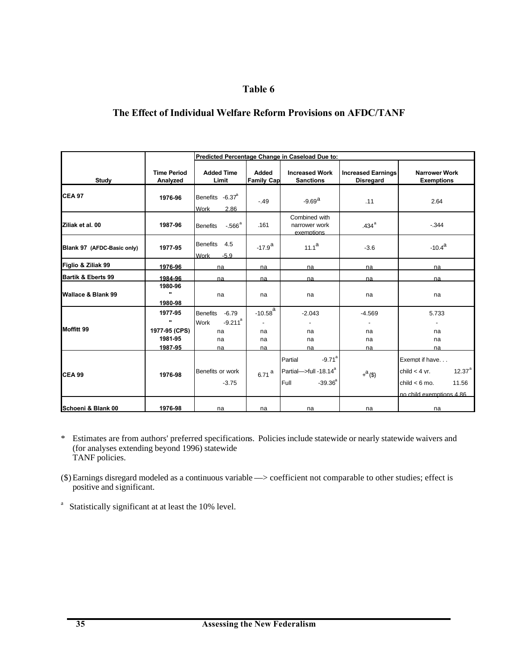# **Table 6**

## **The Effect of Individual Welfare Reform Provisions on AFDC/TANF**

|                               |                                                                | Predicted Percentage Change in Caseload Due to:                               |                                |                                                                                             |                                               |                                                                                                          |  |  |
|-------------------------------|----------------------------------------------------------------|-------------------------------------------------------------------------------|--------------------------------|---------------------------------------------------------------------------------------------|-----------------------------------------------|----------------------------------------------------------------------------------------------------------|--|--|
| Study                         | <b>Time Period</b><br>Analyzed                                 | <b>Added Time</b><br>Limit                                                    | Added<br><b>Family Cap</b>     | <b>Increased Work</b><br><b>Sanctions</b>                                                   | <b>Increased Earnings</b><br><b>Disregard</b> | <b>Narrower Work</b><br><b>Exemptions</b>                                                                |  |  |
| <b>CEA 97</b>                 | 1976-96                                                        | Benefits -6.37 <sup>a</sup><br><b>Work</b><br>2.86                            | $-.49$                         | $-9.69a$                                                                                    | .11                                           | 2.64                                                                                                     |  |  |
| Ziliak et al. 00              | 1987-96                                                        | $-566^{\circ}$<br><b>Benefits</b>                                             | .161                           | Combined with<br>narrower work<br>exemptions                                                | 434 <sup>a</sup>                              | $-344$                                                                                                   |  |  |
| Blank 97 (AFDC-Basic only)    | 1977-95                                                        | <b>Benefits</b><br>4.5<br><b>Work</b><br>$-5.9$                               | $-17.9^{\rm a}$                | $11.1^a$                                                                                    | $-3.6$                                        | $-10.4^{\rm a}$                                                                                          |  |  |
| Figlio & Ziliak 99            | 1976-96                                                        | na                                                                            | na                             | na                                                                                          | na                                            | na                                                                                                       |  |  |
| <b>Bartik &amp; Eberts 99</b> | 1984-96                                                        | na                                                                            | na                             | na                                                                                          | na                                            | na                                                                                                       |  |  |
| Wallace & Blank 99            | 1980-96<br>$\mathbf{u}$<br>1980-98                             | na                                                                            | na                             | na                                                                                          | na                                            | na                                                                                                       |  |  |
| Moffitt 99                    | 1977-95<br>$\mathbf{u}$<br>1977-95 (CPS)<br>1981-95<br>1987-95 | <b>Benefits</b><br>$-6.79$<br>$-9.211$ <sup>a</sup><br>Work<br>na<br>na<br>na | $-10.58^{a}$<br>na<br>na<br>na | $-2.043$<br>na<br>na<br>na                                                                  | $-4.569$<br>na<br>na<br>na                    | 5.733<br>na<br>na<br>na                                                                                  |  |  |
| <b>CEA 99</b>                 | 1976-98                                                        | Benefits or work<br>$-3.75$                                                   | $6.71$ <sup>a</sup>            | $-9.71$ <sup>a</sup><br>Partial<br>Partial->full-18.14 <sup>ª</sup><br>$-39.36^{a}$<br>Full | $+^{a}$ (\$)                                  | Exempt if have<br>$12.37^{a}$<br>child $<$ 4 vr.<br>child $< 6$ mo.<br>11.56<br>no child exemptions 4.86 |  |  |
| Schoeni & Blank 00            | 1976-98                                                        | na                                                                            | na                             | na                                                                                          | na                                            | na                                                                                                       |  |  |

- \* Estimates are from authors' preferred specifications. Policies include statewide or nearly statewide waivers and (for analyses extending beyond 1996) statewide TANF policies.
- (\$)Earnings disregard modeled as a continuous variable —> coefficient not comparable to other studies; effect is positive and significant.
- <sup>a</sup> Statistically significant at at least the 10% level.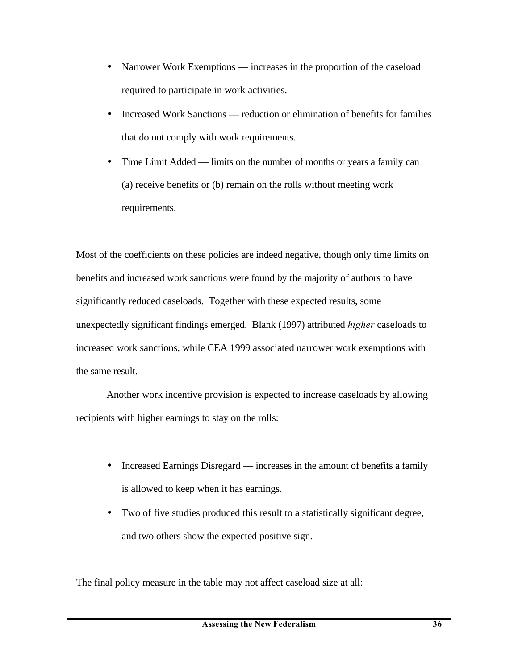- Narrower Work Exemptions increases in the proportion of the caseload required to participate in work activities.
- Increased Work Sanctions reduction or elimination of benefits for families that do not comply with work requirements.
- Time Limit Added limits on the number of months or years a family can (a) receive benefits or (b) remain on the rolls without meeting work requirements.

Most of the coefficients on these policies are indeed negative, though only time limits on benefits and increased work sanctions were found by the majority of authors to have significantly reduced caseloads. Together with these expected results, some unexpectedly significant findings emerged. Blank (1997) attributed *higher* caseloads to increased work sanctions, while CEA 1999 associated narrower work exemptions with the same result.

Another work incentive provision is expected to increase caseloads by allowing recipients with higher earnings to stay on the rolls:

- Increased Earnings Disregard increases in the amount of benefits a family is allowed to keep when it has earnings.
- Two of five studies produced this result to a statistically significant degree, and two others show the expected positive sign.

The final policy measure in the table may not affect caseload size at all: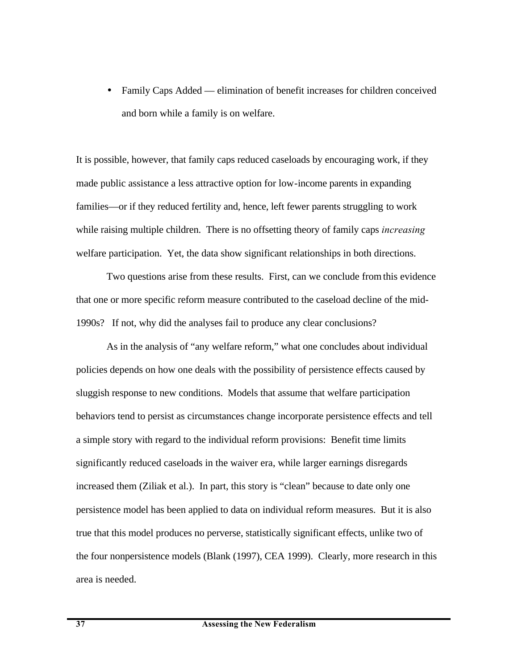• Family Caps Added — elimination of benefit increases for children conceived and born while a family is on welfare.

It is possible, however, that family caps reduced caseloads by encouraging work, if they made public assistance a less attractive option for low-income parents in expanding families—or if they reduced fertility and, hence, left fewer parents struggling to work while raising multiple children. There is no offsetting theory of family caps *increasing* welfare participation. Yet, the data show significant relationships in both directions.

Two questions arise from these results. First, can we conclude from this evidence that one or more specific reform measure contributed to the caseload decline of the mid-1990s? If not, why did the analyses fail to produce any clear conclusions?

As in the analysis of "any welfare reform," what one concludes about individual policies depends on how one deals with the possibility of persistence effects caused by sluggish response to new conditions. Models that assume that welfare participation behaviors tend to persist as circumstances change incorporate persistence effects and tell a simple story with regard to the individual reform provisions: Benefit time limits significantly reduced caseloads in the waiver era, while larger earnings disregards increased them (Ziliak et al.). In part, this story is "clean" because to date only one persistence model has been applied to data on individual reform measures. But it is also true that this model produces no perverse, statistically significant effects, unlike two of the four nonpersistence models (Blank (1997), CEA 1999). Clearly, more research in this area is needed.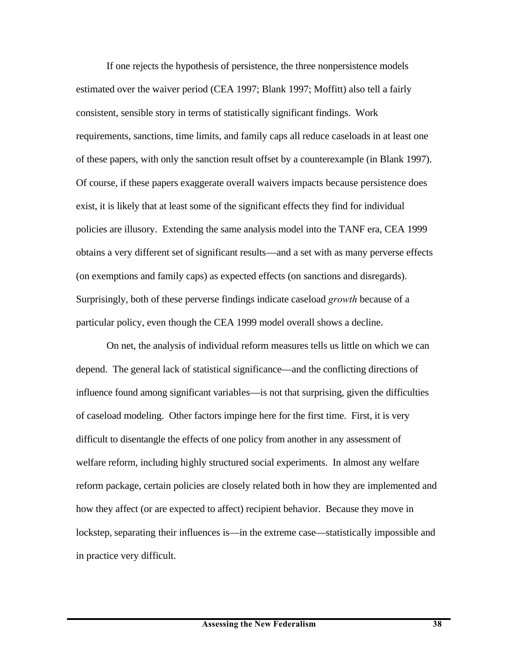If one rejects the hypothesis of persistence, the three nonpersistence models estimated over the waiver period (CEA 1997; Blank 1997; Moffitt) also tell a fairly consistent, sensible story in terms of statistically significant findings. Work requirements, sanctions, time limits, and family caps all reduce caseloads in at least one of these papers, with only the sanction result offset by a counterexample (in Blank 1997). Of course, if these papers exaggerate overall waivers impacts because persistence does exist, it is likely that at least some of the significant effects they find for individual policies are illusory. Extending the same analysis model into the TANF era, CEA 1999 obtains a very different set of significant results—and a set with as many perverse effects (on exemptions and family caps) as expected effects (on sanctions and disregards). Surprisingly, both of these perverse findings indicate caseload *growth* because of a particular policy, even though the CEA 1999 model overall shows a decline.

On net, the analysis of individual reform measures tells us little on which we can depend. The general lack of statistical significance—and the conflicting directions of influence found among significant variables—is not that surprising, given the difficulties of caseload modeling. Other factors impinge here for the first time. First, it is very difficult to disentangle the effects of one policy from another in any assessment of welfare reform, including highly structured social experiments. In almost any welfare reform package, certain policies are closely related both in how they are implemented and how they affect (or are expected to affect) recipient behavior. Because they move in lockstep, separating their influences is—in the extreme case—statistically impossible and in practice very difficult.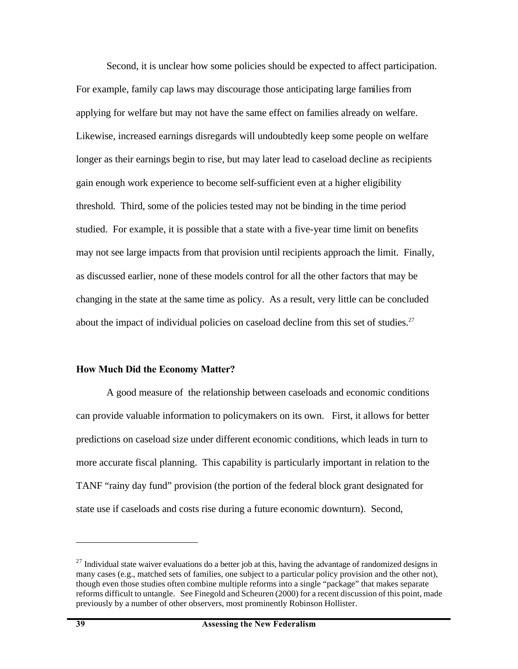Second, it is unclear how some policies should be expected to affect participation. For example, family cap laws may discourage those anticipating large families from applying for welfare but may not have the same effect on families already on welfare. Likewise, increased earnings disregards will undoubtedly keep some people on welfare longer as their earnings begin to rise, but may later lead to caseload decline as recipients gain enough work experience to become self-sufficient even at a higher eligibility threshold. Third, some of the policies tested may not be binding in the time period studied. For example, it is possible that a state with a five-year time limit on benefits may not see large impacts from that provision until recipients approach the limit. Finally, as discussed earlier, none of these models control for all the other factors that may be changing in the state at the same time as policy. As a result, very little can be concluded about the impact of individual policies on caseload decline from this set of studies.<sup>27</sup>

#### **How Much Did the Economy Matter?**

 A good measure of the relationship between caseloads and economic conditions can provide valuable information to policymakers on its own. First, it allows for better predictions on caseload size under different economic conditions, which leads in turn to more accurate fiscal planning. This capability is particularly important in relation to the TANF "rainy day fund" provision (the portion of the federal block grant designated for state use if caseloads and costs rise during a future economic downturn). Second,

 $^{27}$  Individual state waiver evaluations do a better job at this, having the advantage of randomized designs in many cases (e.g., matched sets of families, one subject to a particular policy provision and the other not), though even those studies often combine multiple reforms into a single "package" that makes separate reforms difficult to untangle. See Finegold and Scheuren (2000) for a recent discussion of this point, made previously by a number of other observers, most prominently Robinson Hollister.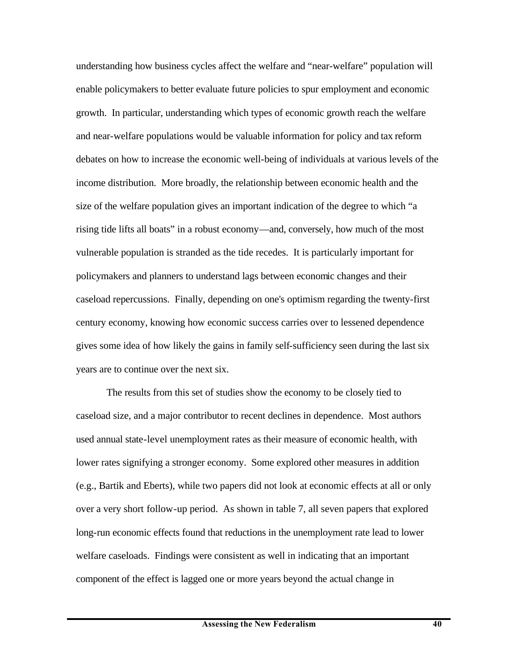understanding how business cycles affect the welfare and "near-welfare" population will enable policymakers to better evaluate future policies to spur employment and economic growth. In particular, understanding which types of economic growth reach the welfare and near-welfare populations would be valuable information for policy and tax reform debates on how to increase the economic well-being of individuals at various levels of the income distribution. More broadly, the relationship between economic health and the size of the welfare population gives an important indication of the degree to which "a rising tide lifts all boats" in a robust economy—and, conversely, how much of the most vulnerable population is stranded as the tide recedes. It is particularly important for policymakers and planners to understand lags between economic changes and their caseload repercussions. Finally, depending on one's optimism regarding the twenty-first century economy, knowing how economic success carries over to lessened dependence gives some idea of how likely the gains in family self-sufficiency seen during the last six years are to continue over the next six.

The results from this set of studies show the economy to be closely tied to caseload size, and a major contributor to recent declines in dependence. Most authors used annual state-level unemployment rates as their measure of economic health, with lower rates signifying a stronger economy. Some explored other measures in addition (e.g., Bartik and Eberts), while two papers did not look at economic effects at all or only over a very short follow-up period. As shown in table 7, all seven papers that explored long-run economic effects found that reductions in the unemployment rate lead to lower welfare caseloads. Findings were consistent as well in indicating that an important component of the effect is lagged one or more years beyond the actual change in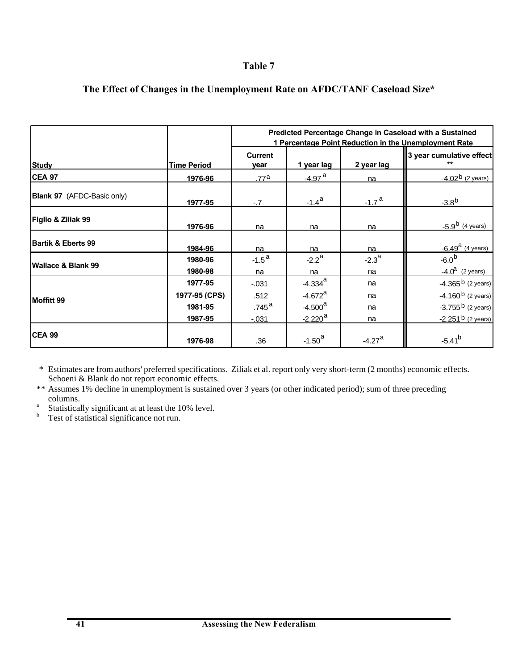### **Table 7**

|                                   |                    | Predicted Percentage Change in Caseload with a Sustained<br>1 Percentage Point Reduction in the Unemployment Rate |                       |                      |                                |  |  |
|-----------------------------------|--------------------|-------------------------------------------------------------------------------------------------------------------|-----------------------|----------------------|--------------------------------|--|--|
| <b>Study</b>                      | <b>Time Period</b> | Current<br>year                                                                                                   | 1 year lag            | 2 year lag           | 3 year cumulative effect<br>** |  |  |
| <b>CEA 97</b>                     | 1976-96            | .77a                                                                                                              | -4.97 <sup>a</sup>    | na                   | $-4.02b$ (2 years)             |  |  |
| <b>Blank 97</b> (AFDC-Basic only) | 1977-95            | $-.7$                                                                                                             | $-1.4^{\rm a}$        | $-1.7a$              | $-3.8b$                        |  |  |
| <b>Figlio &amp; Ziliak 99</b>     | <u>1976-96</u>     | na                                                                                                                | na                    | na                   | $-5.9^{\rm b}$ (4 years)       |  |  |
| Bartik & Eberts 99                | 1984-96            | na                                                                                                                | na                    | na                   | $-6.49^{\mathrm{a}}$ (4 years) |  |  |
| <b>Wallace &amp; Blank 99</b>     | 1980-96            | $-1.5^{\text{a}}$                                                                                                 | $-2.2^{\text{a}}$     | $-2.3^{\circ}$       | $-6.0^{b}$                     |  |  |
|                                   | 1980-98            | na                                                                                                                | na                    | na                   | $-4.0^a$ (2 years)             |  |  |
|                                   | 1977-95            | $-.031$                                                                                                           | $-4.334$ <sup>a</sup> | na                   | $-4.365b$ (2 years)            |  |  |
| <b>IMoffitt 99</b>                | 1977-95 (CPS)      | .512                                                                                                              | $-4.672$ <sup>a</sup> | na                   | $-4.160b$ (2 years)            |  |  |
|                                   | 1981-95            | .745 $^{\rm a}$                                                                                                   | $-4.500a$             | na                   | $-3.755b$ (2 years)            |  |  |
|                                   | 1987-95            | $-0.031$                                                                                                          | $-2.220$ <sup>a</sup> | na                   | $-2.251b$ (2 years)            |  |  |
| <b>CEA 99</b>                     | 1976-98            | .36                                                                                                               | $-1.50a$              | $-4.27$ <sup>a</sup> | $-5.41^{b}$                    |  |  |

## **The Effect of Changes in the Unemployment Rate on AFDC/TANF Caseload Size\***

\* Estimates are from authors' preferred specifications. Ziliak et al. report only very short-term (2 months) economic effects. Schoeni & Blank do not report economic effects.

\*\* Assumes 1% decline in unemployment is sustained over 3 years (or other indicated period); sum of three preceding columns.

- a Statistically significant at at least the 10% level.
- <sup>b</sup> Test of statistical significance not run.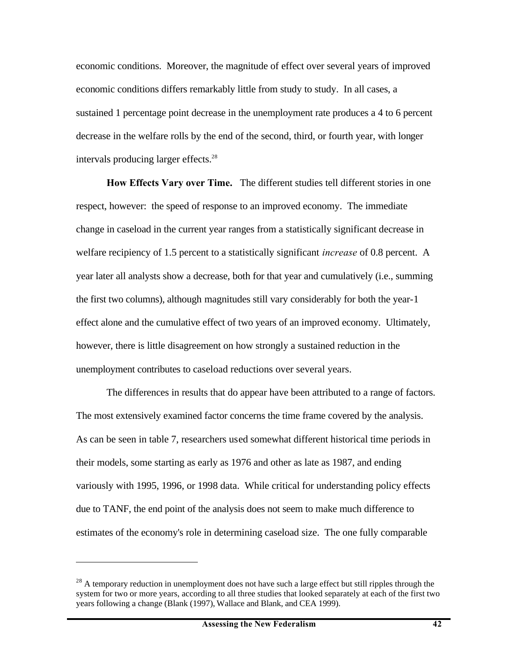economic conditions. Moreover, the magnitude of effect over several years of improved economic conditions differs remarkably little from study to study. In all cases, a sustained 1 percentage point decrease in the unemployment rate produces a 4 to 6 percent decrease in the welfare rolls by the end of the second, third, or fourth year, with longer intervals producing larger effects.<sup>28</sup>

**How Effects Vary over Time.** The different studies tell different stories in one respect, however: the speed of response to an improved economy. The immediate change in caseload in the current year ranges from a statistically significant decrease in welfare recipiency of 1.5 percent to a statistically significant *increase* of 0.8 percent. A year later all analysts show a decrease, both for that year and cumulatively (i.e., summing the first two columns), although magnitudes still vary considerably for both the year-1 effect alone and the cumulative effect of two years of an improved economy. Ultimately, however, there is little disagreement on how strongly a sustained reduction in the unemployment contributes to caseload reductions over several years.

The differences in results that do appear have been attributed to a range of factors. The most extensively examined factor concerns the time frame covered by the analysis. As can be seen in table 7, researchers used somewhat different historical time periods in their models, some starting as early as 1976 and other as late as 1987, and ending variously with 1995, 1996, or 1998 data. While critical for understanding policy effects due to TANF, the end point of the analysis does not seem to make much difference to estimates of the economy's role in determining caseload size. The one fully comparable

<sup>&</sup>lt;sup>28</sup> A temporary reduction in unemployment does not have such a large effect but still ripples through the system for two or more years, according to all three studies that looked separately at each of the first two years following a change (Blank (1997), Wallace and Blank, and CEA 1999).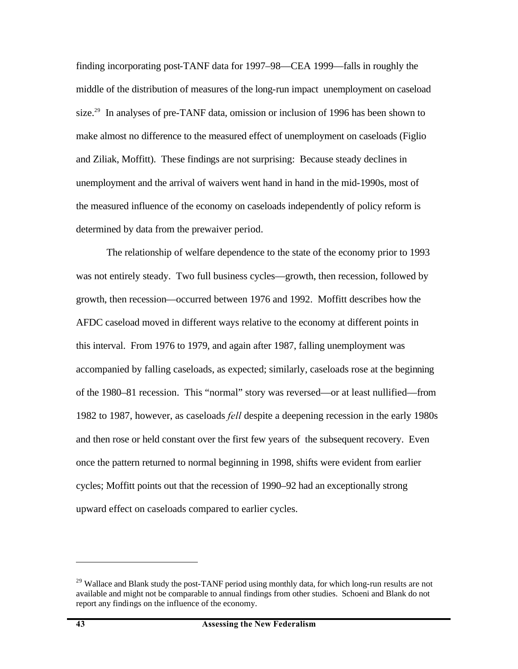finding incorporating post-TANF data for 1997–98—CEA 1999—falls in roughly the middle of the distribution of measures of the long-run impact unemployment on caseload size.<sup>29</sup> In analyses of pre-TANF data, omission or inclusion of 1996 has been shown to make almost no difference to the measured effect of unemployment on caseloads (Figlio and Ziliak, Moffitt). These findings are not surprising: Because steady declines in unemployment and the arrival of waivers went hand in hand in the mid-1990s, most of the measured influence of the economy on caseloads independently of policy reform is determined by data from the prewaiver period.

The relationship of welfare dependence to the state of the economy prior to 1993 was not entirely steady. Two full business cycles—growth, then recession, followed by growth, then recession—occurred between 1976 and 1992. Moffitt describes how the AFDC caseload moved in different ways relative to the economy at different points in this interval. From 1976 to 1979, and again after 1987, falling unemployment was accompanied by falling caseloads, as expected; similarly, caseloads rose at the beginning of the 1980–81 recession. This "normal" story was reversed—or at least nullified—from 1982 to 1987, however, as caseloads *fell* despite a deepening recession in the early 1980s and then rose or held constant over the first few years of the subsequent recovery. Even once the pattern returned to normal beginning in 1998, shifts were evident from earlier cycles; Moffitt points out that the recession of 1990–92 had an exceptionally strong upward effect on caseloads compared to earlier cycles.

1

<sup>&</sup>lt;sup>29</sup> Wallace and Blank study the post-TANF period using monthly data, for which long-run results are not available and might not be comparable to annual findings from other studies. Schoeni and Blank do not report any findings on the influence of the economy.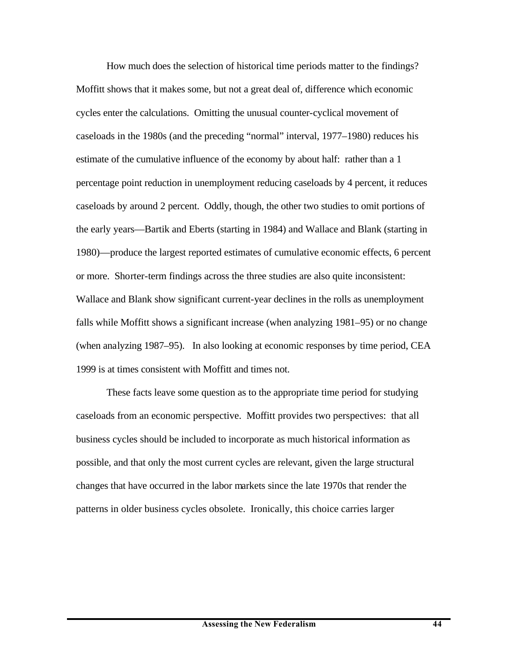How much does the selection of historical time periods matter to the findings? Moffitt shows that it makes some, but not a great deal of, difference which economic cycles enter the calculations. Omitting the unusual counter-cyclical movement of caseloads in the 1980s (and the preceding "normal" interval, 1977–1980) reduces his estimate of the cumulative influence of the economy by about half: rather than a 1 percentage point reduction in unemployment reducing caseloads by 4 percent, it reduces caseloads by around 2 percent. Oddly, though, the other two studies to omit portions of the early years—Bartik and Eberts (starting in 1984) and Wallace and Blank (starting in 1980)—produce the largest reported estimates of cumulative economic effects, 6 percent or more. Shorter-term findings across the three studies are also quite inconsistent: Wallace and Blank show significant current-year declines in the rolls as unemployment falls while Moffitt shows a significant increase (when analyzing 1981–95) or no change (when analyzing 1987–95). In also looking at economic responses by time period, CEA 1999 is at times consistent with Moffitt and times not.

These facts leave some question as to the appropriate time period for studying caseloads from an economic perspective. Moffitt provides two perspectives: that all business cycles should be included to incorporate as much historical information as possible, and that only the most current cycles are relevant, given the large structural changes that have occurred in the labor markets since the late 1970s that render the patterns in older business cycles obsolete. Ironically, this choice carries larger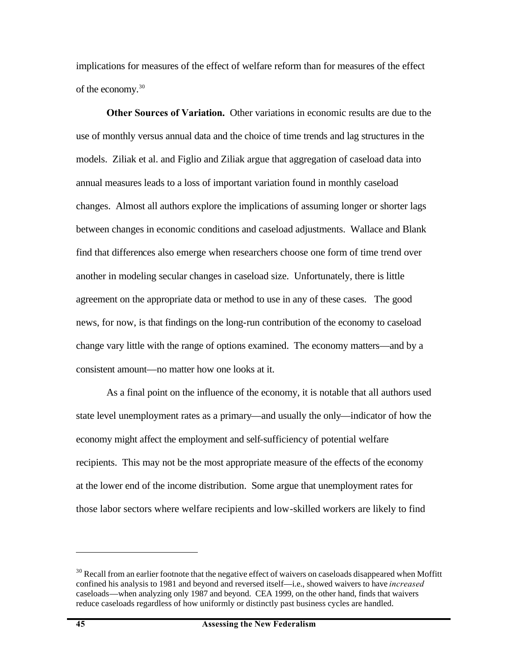implications for measures of the effect of welfare reform than for measures of the effect of the economy.<sup>30</sup>

**Other Sources of Variation.** Other variations in economic results are due to the use of monthly versus annual data and the choice of time trends and lag structures in the models. Ziliak et al. and Figlio and Ziliak argue that aggregation of caseload data into annual measures leads to a loss of important variation found in monthly caseload changes. Almost all authors explore the implications of assuming longer or shorter lags between changes in economic conditions and caseload adjustments. Wallace and Blank find that differences also emerge when researchers choose one form of time trend over another in modeling secular changes in caseload size. Unfortunately, there is little agreement on the appropriate data or method to use in any of these cases. The good news, for now, is that findings on the long-run contribution of the economy to caseload change vary little with the range of options examined. The economy matters—and by a consistent amount—no matter how one looks at it.

As a final point on the influence of the economy, it is notable that all authors used state level unemployment rates as a primary—and usually the only—indicator of how the economy might affect the employment and self-sufficiency of potential welfare recipients. This may not be the most appropriate measure of the effects of the economy at the lower end of the income distribution. Some argue that unemployment rates for those labor sectors where welfare recipients and low-skilled workers are likely to find

 $30$  Recall from an earlier footnote that the negative effect of waivers on caseloads disappeared when Moffitt confined his analysis to 1981 and beyond and reversed itself—i.e., showed waivers to have *increased* caseloads—when analyzing only 1987 and beyond. CEA 1999, on the other hand, finds that waivers reduce caseloads regardless of how uniformly or distinctly past business cycles are handled.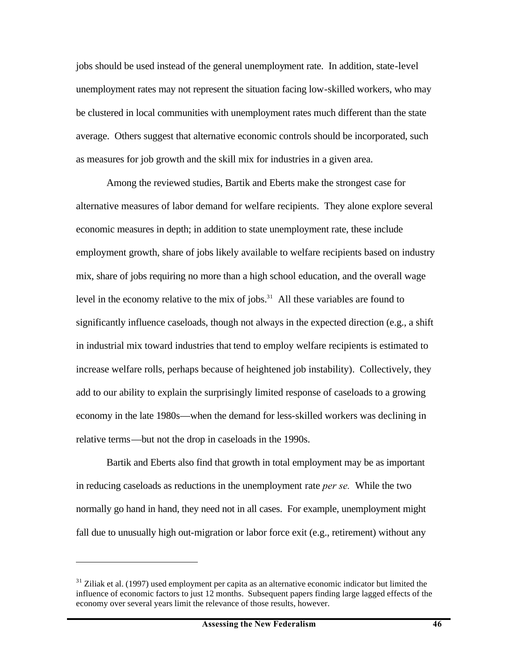jobs should be used instead of the general unemployment rate. In addition, state-level unemployment rates may not represent the situation facing low-skilled workers, who may be clustered in local communities with unemployment rates much different than the state average. Others suggest that alternative economic controls should be incorporated, such as measures for job growth and the skill mix for industries in a given area.

Among the reviewed studies, Bartik and Eberts make the strongest case for alternative measures of labor demand for welfare recipients. They alone explore several economic measures in depth; in addition to state unemployment rate, these include employment growth, share of jobs likely available to welfare recipients based on industry mix, share of jobs requiring no more than a high school education, and the overall wage level in the economy relative to the mix of jobs. $31$  All these variables are found to significantly influence caseloads, though not always in the expected direction (e.g., a shift in industrial mix toward industries that tend to employ welfare recipients is estimated to increase welfare rolls, perhaps because of heightened job instability). Collectively, they add to our ability to explain the surprisingly limited response of caseloads to a growing economy in the late 1980s—when the demand for less-skilled workers was declining in relative terms—but not the drop in caseloads in the 1990s.

Bartik and Eberts also find that growth in total employment may be as important in reducing caseloads as reductions in the unemployment rate *per se.* While the two normally go hand in hand, they need not in all cases. For example, unemployment might fall due to unusually high out-migration or labor force exit (e.g., retirement) without any

1

 $31$  Ziliak et al. (1997) used employment per capita as an alternative economic indicator but limited the influence of economic factors to just 12 months. Subsequent papers finding large lagged effects of the economy over several years limit the relevance of those results, however.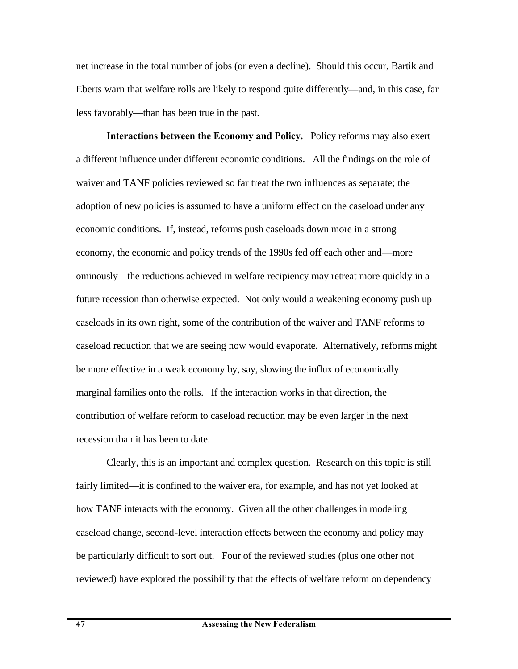net increase in the total number of jobs (or even a decline). Should this occur, Bartik and Eberts warn that welfare rolls are likely to respond quite differently—and, in this case, far less favorably—than has been true in the past.

**Interactions between the Economy and Policy.** Policy reforms may also exert a different influence under different economic conditions. All the findings on the role of waiver and TANF policies reviewed so far treat the two influences as separate; the adoption of new policies is assumed to have a uniform effect on the caseload under any economic conditions. If, instead, reforms push caseloads down more in a strong economy, the economic and policy trends of the 1990s fed off each other and—more ominously—the reductions achieved in welfare recipiency may retreat more quickly in a future recession than otherwise expected. Not only would a weakening economy push up caseloads in its own right, some of the contribution of the waiver and TANF reforms to caseload reduction that we are seeing now would evaporate. Alternatively, reforms might be more effective in a weak economy by, say, slowing the influx of economically marginal families onto the rolls. If the interaction works in that direction, the contribution of welfare reform to caseload reduction may be even larger in the next recession than it has been to date.

Clearly, this is an important and complex question. Research on this topic is still fairly limited—it is confined to the waiver era, for example, and has not yet looked at how TANF interacts with the economy. Given all the other challenges in modeling caseload change, second-level interaction effects between the economy and policy may be particularly difficult to sort out. Four of the reviewed studies (plus one other not reviewed) have explored the possibility that the effects of welfare reform on dependency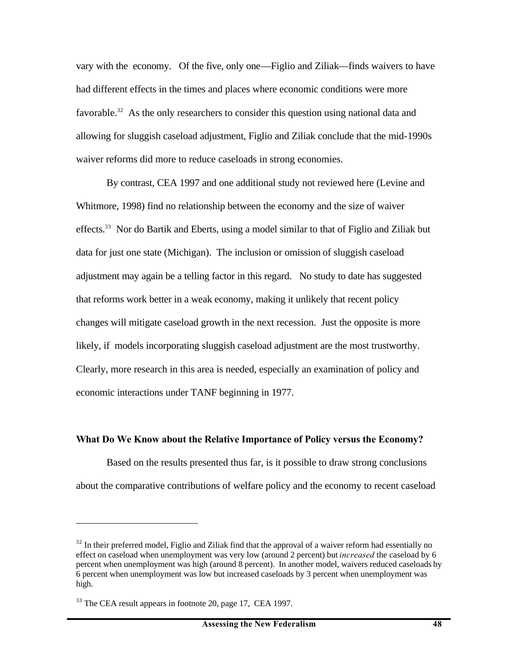vary with the economy. Of the five, only one—Figlio and Ziliak—finds waivers to have had different effects in the times and places where economic conditions were more favorable.<sup>32</sup> As the only researchers to consider this question using national data and allowing for sluggish caseload adjustment, Figlio and Ziliak conclude that the mid-1990s waiver reforms did more to reduce caseloads in strong economies.

By contrast, CEA 1997 and one additional study not reviewed here (Levine and Whitmore, 1998) find no relationship between the economy and the size of waiver effects.<sup>33</sup> Nor do Bartik and Eberts, using a model similar to that of Figlio and Ziliak but data for just one state (Michigan). The inclusion or omission of sluggish caseload adjustment may again be a telling factor in this regard. No study to date has suggested that reforms work better in a weak economy, making it unlikely that recent policy changes will mitigate caseload growth in the next recession. Just the opposite is more likely, if models incorporating sluggish caseload adjustment are the most trustworthy. Clearly, more research in this area is needed, especially an examination of policy and economic interactions under TANF beginning in 1977.

#### **What Do We Know about the Relative Importance of Policy versus the Economy?**

Based on the results presented thus far, is it possible to draw strong conclusions about the comparative contributions of welfare policy and the economy to recent caseload

 $32$  In their preferred model, Figlio and Ziliak find that the approval of a waiver reform had essentially no effect on caseload when unemployment was very low (around 2 percent) but *increased* the caseload by 6 percent when unemployment was high (around 8 percent). In another model, waivers reduced caseloads by 6 percent when unemployment was low but increased caseloads by 3 percent when unemployment was high.

<sup>&</sup>lt;sup>33</sup> The CEA result appears in footnote 20, page 17, CEA 1997.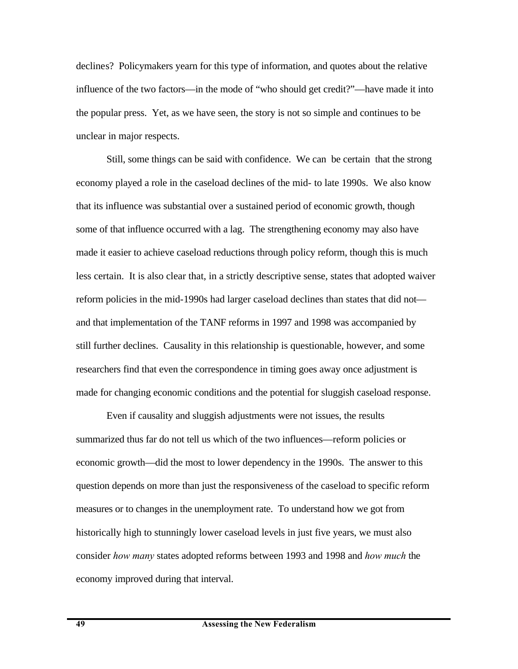declines? Policymakers yearn for this type of information, and quotes about the relative influence of the two factors—in the mode of "who should get credit?"—have made it into the popular press. Yet, as we have seen, the story is not so simple and continues to be unclear in major respects.

Still, some things can be said with confidence. We can be certain that the strong economy played a role in the caseload declines of the mid- to late 1990s. We also know that its influence was substantial over a sustained period of economic growth, though some of that influence occurred with a lag. The strengthening economy may also have made it easier to achieve caseload reductions through policy reform, though this is much less certain. It is also clear that, in a strictly descriptive sense, states that adopted waiver reform policies in the mid-1990s had larger caseload declines than states that did not and that implementation of the TANF reforms in 1997 and 1998 was accompanied by still further declines. Causality in this relationship is questionable, however, and some researchers find that even the correspondence in timing goes away once adjustment is made for changing economic conditions and the potential for sluggish caseload response.

Even if causality and sluggish adjustments were not issues, the results summarized thus far do not tell us which of the two influences—reform policies or economic growth—did the most to lower dependency in the 1990s. The answer to this question depends on more than just the responsiveness of the caseload to specific reform measures or to changes in the unemployment rate. To understand how we got from historically high to stunningly lower caseload levels in just five years, we must also consider *how many* states adopted reforms between 1993 and 1998 and *how much* the economy improved during that interval.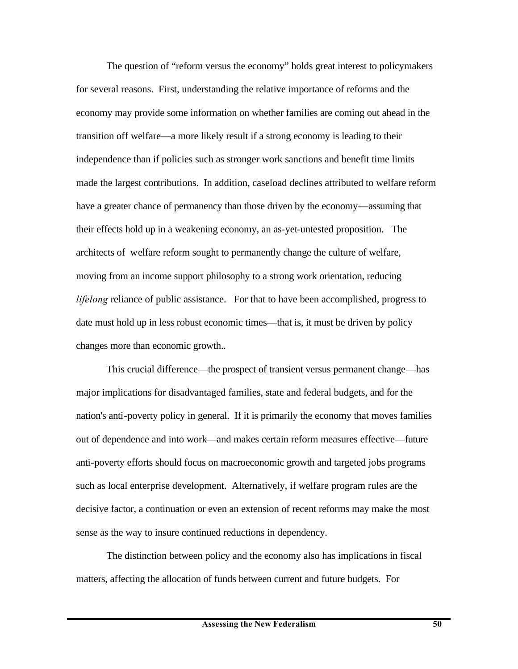The question of "reform versus the economy" holds great interest to policymakers for several reasons. First, understanding the relative importance of reforms and the economy may provide some information on whether families are coming out ahead in the transition off welfare—a more likely result if a strong economy is leading to their independence than if policies such as stronger work sanctions and benefit time limits made the largest contributions. In addition, caseload declines attributed to welfare reform have a greater chance of permanency than those driven by the economy—assuming that their effects hold up in a weakening economy, an as-yet-untested proposition. The architects of welfare reform sought to permanently change the culture of welfare, moving from an income support philosophy to a strong work orientation, reducing *lifelong* reliance of public assistance. For that to have been accomplished, progress to date must hold up in less robust economic times—that is, it must be driven by policy changes more than economic growth..

This crucial difference—the prospect of transient versus permanent change—has major implications for disadvantaged families, state and federal budgets, and for the nation's anti-poverty policy in general. If it is primarily the economy that moves families out of dependence and into work—and makes certain reform measures effective—future anti-poverty efforts should focus on macroeconomic growth and targeted jobs programs such as local enterprise development. Alternatively, if welfare program rules are the decisive factor, a continuation or even an extension of recent reforms may make the most sense as the way to insure continued reductions in dependency.

The distinction between policy and the economy also has implications in fiscal matters, affecting the allocation of funds between current and future budgets. For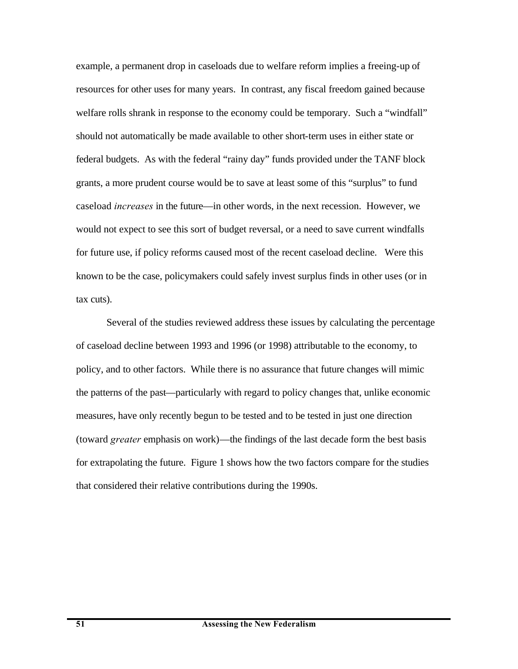example, a permanent drop in caseloads due to welfare reform implies a freeing-up of resources for other uses for many years. In contrast, any fiscal freedom gained because welfare rolls shrank in response to the economy could be temporary. Such a "windfall" should not automatically be made available to other short-term uses in either state or federal budgets. As with the federal "rainy day" funds provided under the TANF block grants, a more prudent course would be to save at least some of this "surplus" to fund caseload *increases* in the future—in other words, in the next recession. However, we would not expect to see this sort of budget reversal, or a need to save current windfalls for future use, if policy reforms caused most of the recent caseload decline. Were this known to be the case, policymakers could safely invest surplus finds in other uses (or in tax cuts).

Several of the studies reviewed address these issues by calculating the percentage of caseload decline between 1993 and 1996 (or 1998) attributable to the economy, to policy, and to other factors. While there is no assurance that future changes will mimic the patterns of the past—particularly with regard to policy changes that, unlike economic measures, have only recently begun to be tested and to be tested in just one direction (toward *greater* emphasis on work)—the findings of the last decade form the best basis for extrapolating the future. Figure 1 shows how the two factors compare for the studies that considered their relative contributions during the 1990s.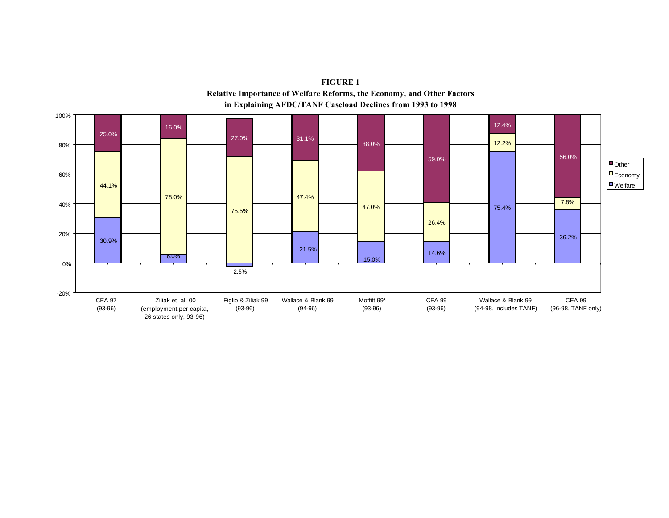

**FIGURE 1 Relative Importance of Welfare Reforms, the Economy, and Other Factors in Explaining AFDC/TANF Caseload Declines from 1993 to 1998**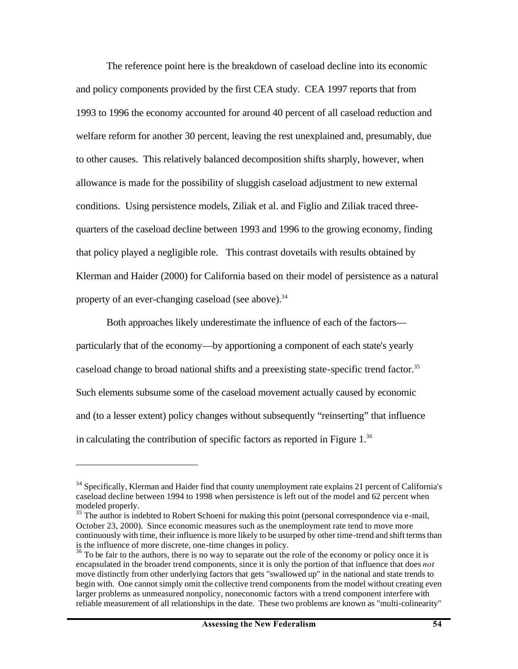The reference point here is the breakdown of caseload decline into its economic and policy components provided by the first CEA study. CEA 1997 reports that from 1993 to 1996 the economy accounted for around 40 percent of all caseload reduction and welfare reform for another 30 percent, leaving the rest unexplained and, presumably, due to other causes. This relatively balanced decomposition shifts sharply, however, when allowance is made for the possibility of sluggish caseload adjustment to new external conditions. Using persistence models, Ziliak et al. and Figlio and Ziliak traced threequarters of the caseload decline between 1993 and 1996 to the growing economy, finding that policy played a negligible role. This contrast dovetails with results obtained by Klerman and Haider (2000) for California based on their model of persistence as a natural property of an ever-changing caseload (see above).<sup>34</sup>

Both approaches likely underestimate the influence of each of the factors particularly that of the economy—by apportioning a component of each state's yearly caseload change to broad national shifts and a preexisting state-specific trend factor.<sup>35</sup> Such elements subsume some of the caseload movement actually caused by economic and (to a lesser extent) policy changes without subsequently "reinserting" that influence in calculating the contribution of specific factors as reported in Figure  $1<sup>36</sup>$ 

<sup>&</sup>lt;sup>34</sup> Specifically, Klerman and Haider find that county unemployment rate explains 21 percent of California's caseload decline between 1994 to 1998 when persistence is left out of the model and 62 percent when modeled properly.

<sup>&</sup>lt;sup>35</sup> The author is indebted to Robert Schoeni for making this point (personal correspondence via e-mail, October 23, 2000). Since economic measures such as the unemployment rate tend to move more continuously with time, their influence is more likely to be usurped by other time-trend and shift terms than is the influence of more discrete, one-time changes in policy.

<sup>&</sup>lt;sup>36</sup> To be fair to the authors, there is no way to separate out the role of the economy or policy once it is encapsulated in the broader trend components, since it is only the portion of that influence that does *not* move distinctly from other underlying factors that gets "swallowed up" in the national and state trends to begin with. One cannot simply omit the collective trend components from the model without creating even larger problems as unmeasured nonpolicy, noneconomic factors with a trend component interfere with reliable measurement of all relationships in the date. These two problems are known as "multi-colinearity"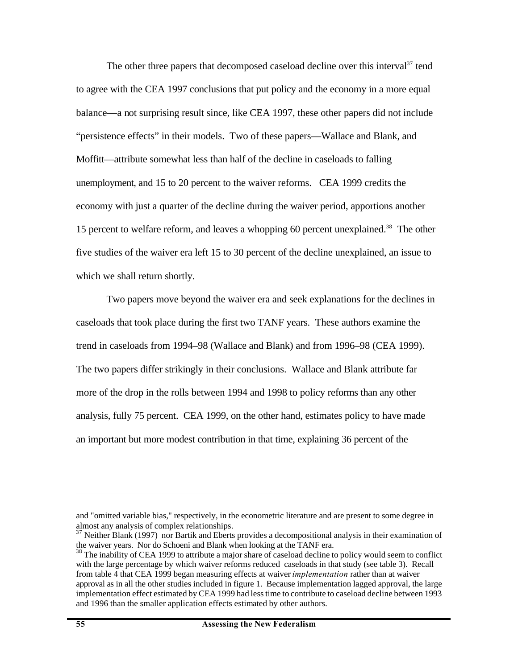The other three papers that decomposed caseload decline over this interval $37$  tend to agree with the CEA 1997 conclusions that put policy and the economy in a more equal balance—a not surprising result since, like CEA 1997, these other papers did not include "persistence effects" in their models. Two of these papers—Wallace and Blank, and Moffitt—attribute somewhat less than half of the decline in caseloads to falling unemployment, and 15 to 20 percent to the waiver reforms. CEA 1999 credits the economy with just a quarter of the decline during the waiver period, apportions another 15 percent to welfare reform, and leaves a whopping 60 percent unexplained.<sup>38</sup> The other five studies of the waiver era left 15 to 30 percent of the decline unexplained, an issue to which we shall return shortly.

Two papers move beyond the waiver era and seek explanations for the declines in caseloads that took place during the first two TANF years. These authors examine the trend in caseloads from 1994–98 (Wallace and Blank) and from 1996–98 (CEA 1999). The two papers differ strikingly in their conclusions. Wallace and Blank attribute far more of the drop in the rolls between 1994 and 1998 to policy reforms than any other analysis, fully 75 percent. CEA 1999, on the other hand, estimates policy to have made an important but more modest contribution in that time, explaining 36 percent of the

and "omitted variable bias," respectively, in the econometric literature and are present to some degree in almost any analysis of complex relationships.

 $37$  Neither Blank (1997) nor Bartik and Eberts provides a decompositional analysis in their examination of the waiver years. Nor do Schoeni and Blank when looking at the TANF era.

<sup>&</sup>lt;sup>38</sup> The inability of CEA 1999 to attribute a major share of caseload decline to policy would seem to conflict with the large percentage by which waiver reforms reduced caseloads in that study (see table 3). Recall from table 4 that CEA 1999 began measuring effects at waiver *implementation* rather than at waiver approval as in all the other studies included in figure 1. Because implementation lagged approval, the large implementation effect estimated by CEA 1999 had less time to contribute to caseload decline between 1993 and 1996 than the smaller application effects estimated by other authors.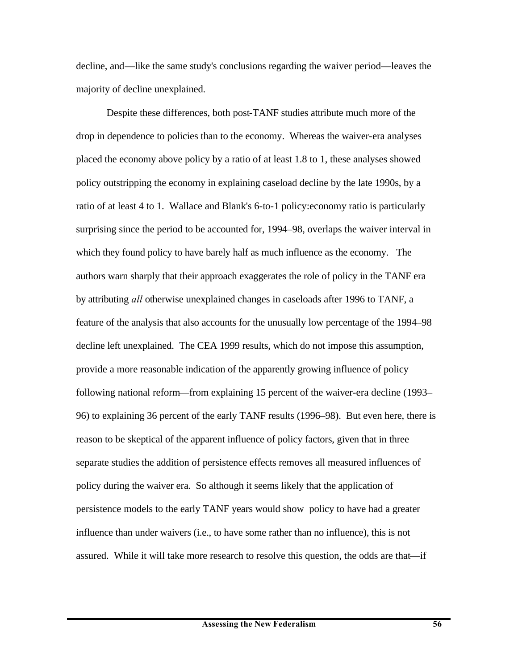decline, and—like the same study's conclusions regarding the waiver period—leaves the majority of decline unexplained.

Despite these differences, both post-TANF studies attribute much more of the drop in dependence to policies than to the economy. Whereas the waiver-era analyses placed the economy above policy by a ratio of at least 1.8 to 1, these analyses showed policy outstripping the economy in explaining caseload decline by the late 1990s, by a ratio of at least 4 to 1. Wallace and Blank's 6-to-1 policy:economy ratio is particularly surprising since the period to be accounted for, 1994–98, overlaps the waiver interval in which they found policy to have barely half as much influence as the economy. The authors warn sharply that their approach exaggerates the role of policy in the TANF era by attributing *all* otherwise unexplained changes in caseloads after 1996 to TANF, a feature of the analysis that also accounts for the unusually low percentage of the 1994–98 decline left unexplained. The CEA 1999 results, which do not impose this assumption, provide a more reasonable indication of the apparently growing influence of policy following national reform—from explaining 15 percent of the waiver-era decline (1993– 96) to explaining 36 percent of the early TANF results (1996–98). But even here, there is reason to be skeptical of the apparent influence of policy factors, given that in three separate studies the addition of persistence effects removes all measured influences of policy during the waiver era. So although it seems likely that the application of persistence models to the early TANF years would show policy to have had a greater influence than under waivers (i.e., to have some rather than no influence), this is not assured. While it will take more research to resolve this question, the odds are that—if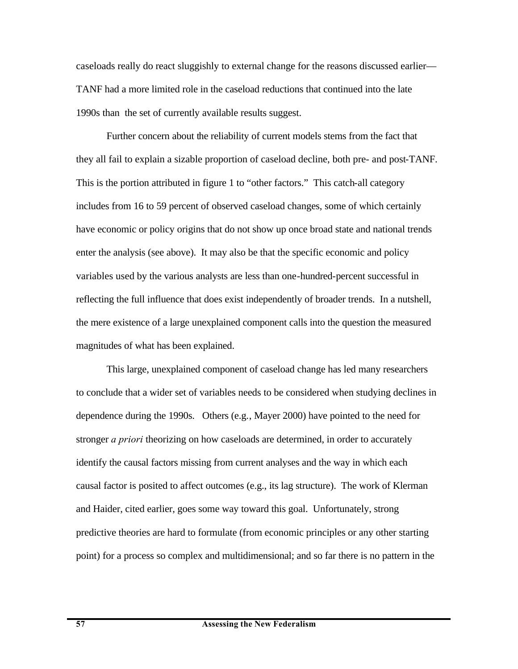caseloads really do react sluggishly to external change for the reasons discussed earlier— TANF had a more limited role in the caseload reductions that continued into the late 1990s than the set of currently available results suggest.

Further concern about the reliability of current models stems from the fact that they all fail to explain a sizable proportion of caseload decline, both pre- and post-TANF. This is the portion attributed in figure 1 to "other factors." This catch-all category includes from 16 to 59 percent of observed caseload changes, some of which certainly have economic or policy origins that do not show up once broad state and national trends enter the analysis (see above). It may also be that the specific economic and policy variables used by the various analysts are less than one-hundred-percent successful in reflecting the full influence that does exist independently of broader trends. In a nutshell, the mere existence of a large unexplained component calls into the question the measured magnitudes of what has been explained.

This large, unexplained component of caseload change has led many researchers to conclude that a wider set of variables needs to be considered when studying declines in dependence during the 1990s. Others (e.g., Mayer 2000) have pointed to the need for stronger *a priori* theorizing on how caseloads are determined, in order to accurately identify the causal factors missing from current analyses and the way in which each causal factor is posited to affect outcomes (e.g., its lag structure). The work of Klerman and Haider, cited earlier, goes some way toward this goal. Unfortunately, strong predictive theories are hard to formulate (from economic principles or any other starting point) for a process so complex and multidimensional; and so far there is no pattern in the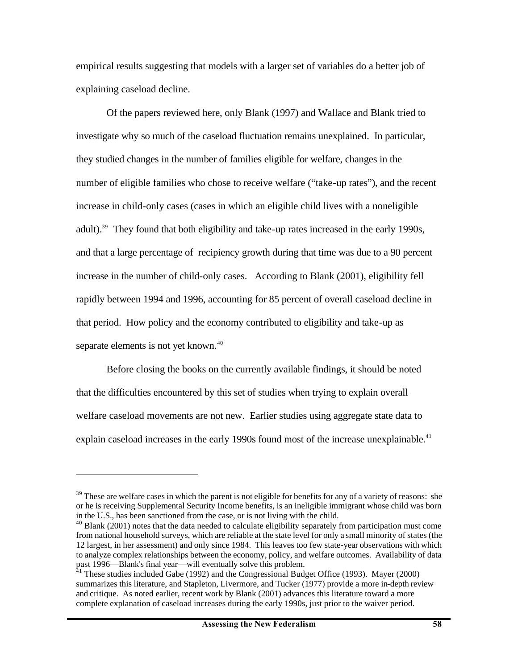empirical results suggesting that models with a larger set of variables do a better job of explaining caseload decline.

Of the papers reviewed here, only Blank (1997) and Wallace and Blank tried to investigate why so much of the caseload fluctuation remains unexplained. In particular, they studied changes in the number of families eligible for welfare, changes in the number of eligible families who chose to receive welfare ("take-up rates"), and the recent increase in child-only cases (cases in which an eligible child lives with a noneligible adult).<sup>39</sup> They found that both eligibility and take-up rates increased in the early 1990s, and that a large percentage of recipiency growth during that time was due to a 90 percent increase in the number of child-only cases. According to Blank (2001), eligibility fell rapidly between 1994 and 1996, accounting for 85 percent of overall caseload decline in that period. How policy and the economy contributed to eligibility and take-up as separate elements is not yet known.<sup>40</sup>

Before closing the books on the currently available findings, it should be noted that the difficulties encountered by this set of studies when trying to explain overall welfare caseload movements are not new. Earlier studies using aggregate state data to explain caseload increases in the early 1990s found most of the increase unexplainable.<sup>41</sup>

 $39$  These are welfare cases in which the parent is not eligible for benefits for any of a variety of reasons: she or he is receiving Supplemental Security Income benefits, is an ineligible immigrant whose child was born in the U.S., has been sanctioned from the case, or is not living with the child.

 $40$  Blank (2001) notes that the data needed to calculate eligibility separately from participation must come from national household surveys, which are reliable at the state level for only a small minority of states (the 12 largest, in her assessment) and only since 1984. This leaves too few state-year observations with which to analyze complex relationships between the economy, policy, and welfare outcomes. Availability of data past 1996—Blank's final year—will eventually solve this problem.

 $41$ <sup>1</sup> These studies included Gabe (1992) and the Congressional Budget Office (1993). Mayer (2000) summarizes this literature, and Stapleton, Livermore, and Tucker (1977) provide a more in-depth review and critique. As noted earlier, recent work by Blank (2001) advances this literature toward a more complete explanation of caseload increases during the early 1990s, just prior to the waiver period.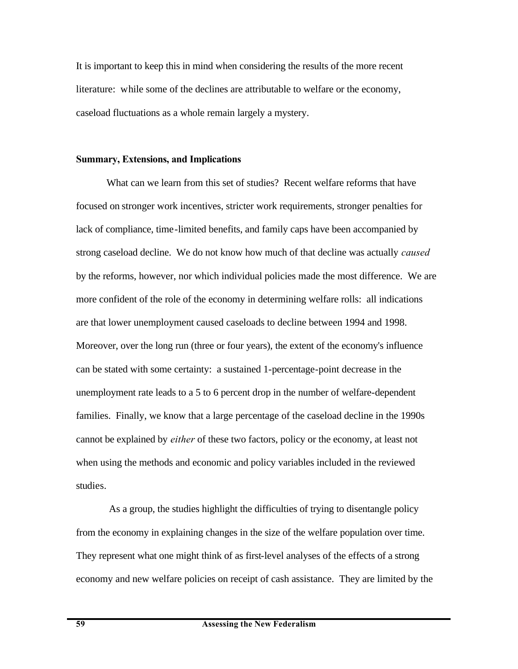It is important to keep this in mind when considering the results of the more recent literature: while some of the declines are attributable to welfare or the economy, caseload fluctuations as a whole remain largely a mystery.

#### **Summary, Extensions, and Implications**

What can we learn from this set of studies? Recent welfare reforms that have focused on stronger work incentives, stricter work requirements, stronger penalties for lack of compliance, time-limited benefits, and family caps have been accompanied by strong caseload decline. We do not know how much of that decline was actually *caused* by the reforms, however, nor which individual policies made the most difference. We are more confident of the role of the economy in determining welfare rolls: all indications are that lower unemployment caused caseloads to decline between 1994 and 1998. Moreover, over the long run (three or four years), the extent of the economy's influence can be stated with some certainty: a sustained 1-percentage-point decrease in the unemployment rate leads to a 5 to 6 percent drop in the number of welfare-dependent families. Finally, we know that a large percentage of the caseload decline in the 1990s cannot be explained by *either* of these two factors, policy or the economy, at least not when using the methods and economic and policy variables included in the reviewed studies.

 As a group, the studies highlight the difficulties of trying to disentangle policy from the economy in explaining changes in the size of the welfare population over time. They represent what one might think of as first-level analyses of the effects of a strong economy and new welfare policies on receipt of cash assistance. They are limited by the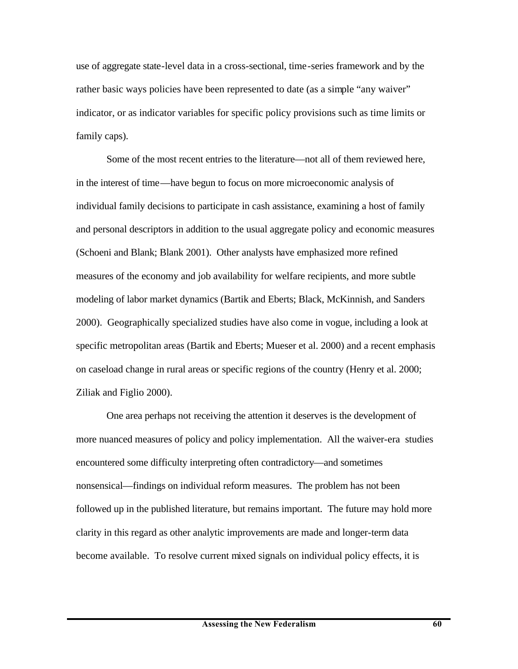use of aggregate state-level data in a cross-sectional, time-series framework and by the rather basic ways policies have been represented to date (as a simple "any waiver" indicator, or as indicator variables for specific policy provisions such as time limits or family caps).

Some of the most recent entries to the literature—not all of them reviewed here, in the interest of time—have begun to focus on more microeconomic analysis of individual family decisions to participate in cash assistance, examining a host of family and personal descriptors in addition to the usual aggregate policy and economic measures (Schoeni and Blank; Blank 2001). Other analysts have emphasized more refined measures of the economy and job availability for welfare recipients, and more subtle modeling of labor market dynamics (Bartik and Eberts; Black, McKinnish, and Sanders 2000). Geographically specialized studies have also come in vogue, including a look at specific metropolitan areas (Bartik and Eberts; Mueser et al. 2000) and a recent emphasis on caseload change in rural areas or specific regions of the country (Henry et al. 2000; Ziliak and Figlio 2000).

One area perhaps not receiving the attention it deserves is the development of more nuanced measures of policy and policy implementation. All the waiver-era studies encountered some difficulty interpreting often contradictory—and sometimes nonsensical—findings on individual reform measures. The problem has not been followed up in the published literature, but remains important. The future may hold more clarity in this regard as other analytic improvements are made and longer-term data become available. To resolve current mixed signals on individual policy effects, it is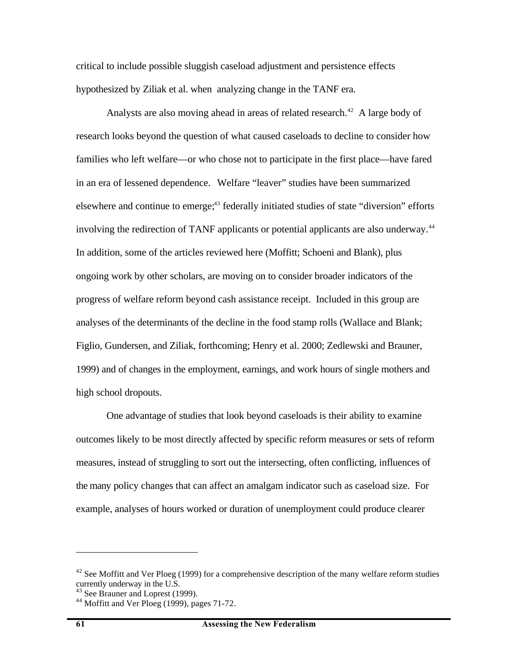critical to include possible sluggish caseload adjustment and persistence effects hypothesized by Ziliak et al. when analyzing change in the TANF era.

Analysts are also moving ahead in areas of related research.<sup>42</sup> A large body of research looks beyond the question of what caused caseloads to decline to consider how families who left welfare—or who chose not to participate in the first place—have fared in an era of lessened dependence. Welfare "leaver" studies have been summarized elsewhere and continue to emerge;<sup>43</sup> federally initiated studies of state "diversion" efforts involving the redirection of TANF applicants or potential applicants are also underway.<sup>44</sup> In addition, some of the articles reviewed here (Moffitt; Schoeni and Blank), plus ongoing work by other scholars, are moving on to consider broader indicators of the progress of welfare reform beyond cash assistance receipt. Included in this group are analyses of the determinants of the decline in the food stamp rolls (Wallace and Blank; Figlio, Gundersen, and Ziliak, forthcoming; Henry et al. 2000; Zedlewski and Brauner, 1999) and of changes in the employment, earnings, and work hours of single mothers and high school dropouts.

One advantage of studies that look beyond caseloads is their ability to examine outcomes likely to be most directly affected by specific reform measures or sets of reform measures, instead of struggling to sort out the intersecting, often conflicting, influences of the many policy changes that can affect an amalgam indicator such as caseload size. For example, analyses of hours worked or duration of unemployment could produce clearer

 $42$  See Moffitt and Ver Ploeg (1999) for a comprehensive description of the many welfare reform studies currently underway in the U.S.

<sup>&</sup>lt;sup>43</sup> See Brauner and Loprest (1999).

 $44$  Moffitt and Ver Ploeg (1999), pages 71-72.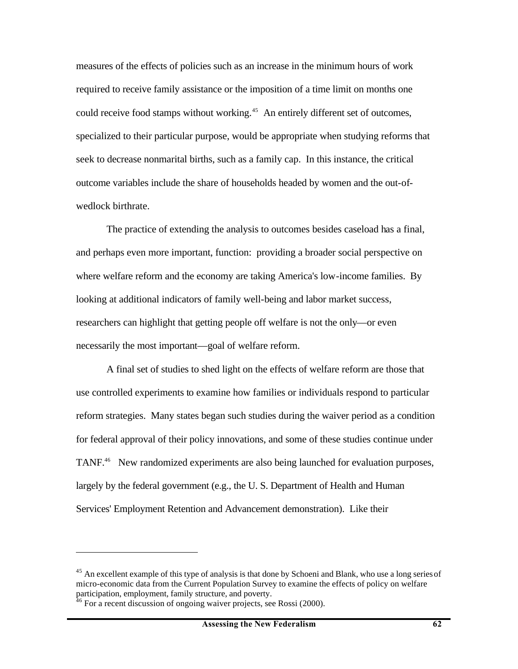measures of the effects of policies such as an increase in the minimum hours of work required to receive family assistance or the imposition of a time limit on months one could receive food stamps without working.<sup>45</sup> An entirely different set of outcomes, specialized to their particular purpose, would be appropriate when studying reforms that seek to decrease nonmarital births, such as a family cap. In this instance, the critical outcome variables include the share of households headed by women and the out-ofwedlock birthrate.

The practice of extending the analysis to outcomes besides caseload has a final, and perhaps even more important, function: providing a broader social perspective on where welfare reform and the economy are taking America's low-income families. By looking at additional indicators of family well-being and labor market success, researchers can highlight that getting people off welfare is not the only—or even necessarily the most important—goal of welfare reform.

A final set of studies to shed light on the effects of welfare reform are those that use controlled experiments to examine how families or individuals respond to particular reform strategies. Many states began such studies during the waiver period as a condition for federal approval of their policy innovations, and some of these studies continue under TANF.<sup>46</sup> New randomized experiments are also being launched for evaluation purposes, largely by the federal government (e.g., the U. S. Department of Health and Human Services' Employment Retention and Advancement demonstration). Like their

<sup>&</sup>lt;sup>45</sup> An excellent example of this type of analysis is that done by Schoeni and Blank, who use a long series of micro-economic data from the Current Population Survey to examine the effects of policy on welfare participation, employment, family structure, and poverty.

 $\overline{6}$  For a recent discussion of ongoing waiver projects, see Rossi (2000).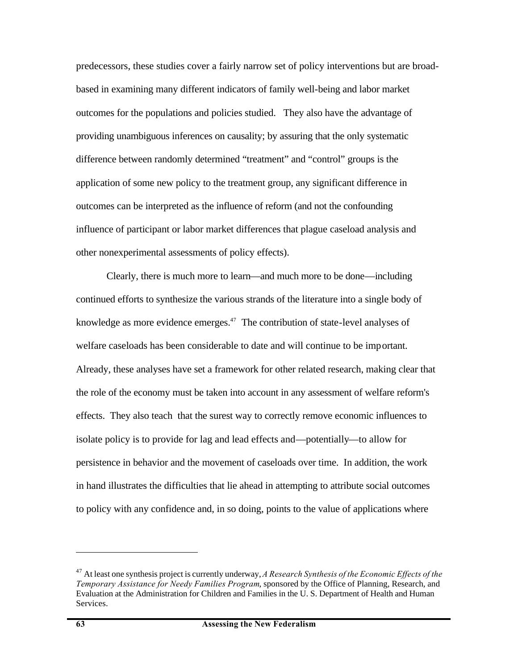predecessors, these studies cover a fairly narrow set of policy interventions but are broadbased in examining many different indicators of family well-being and labor market outcomes for the populations and policies studied. They also have the advantage of providing unambiguous inferences on causality; by assuring that the only systematic difference between randomly determined "treatment" and "control" groups is the application of some new policy to the treatment group, any significant difference in outcomes can be interpreted as the influence of reform (and not the confounding influence of participant or labor market differences that plague caseload analysis and other nonexperimental assessments of policy effects).

Clearly, there is much more to learn—and much more to be done—including continued efforts to synthesize the various strands of the literature into a single body of knowledge as more evidence emerges. $47$  The contribution of state-level analyses of welfare caseloads has been considerable to date and will continue to be important. Already, these analyses have set a framework for other related research, making clear that the role of the economy must be taken into account in any assessment of welfare reform's effects. They also teach that the surest way to correctly remove economic influences to isolate policy is to provide for lag and lead effects and—potentially—to allow for persistence in behavior and the movement of caseloads over time. In addition, the work in hand illustrates the difficulties that lie ahead in attempting to attribute social outcomes to policy with any confidence and, in so doing, points to the value of applications where

<sup>47</sup> At least one synthesis project is currently underway, *A Research Synthesis of the Economic Effects of the Temporary Assistance for Needy Families Program*, sponsored by the Office of Planning, Research, and Evaluation at the Administration for Children and Families in the U. S. Department of Health and Human Services.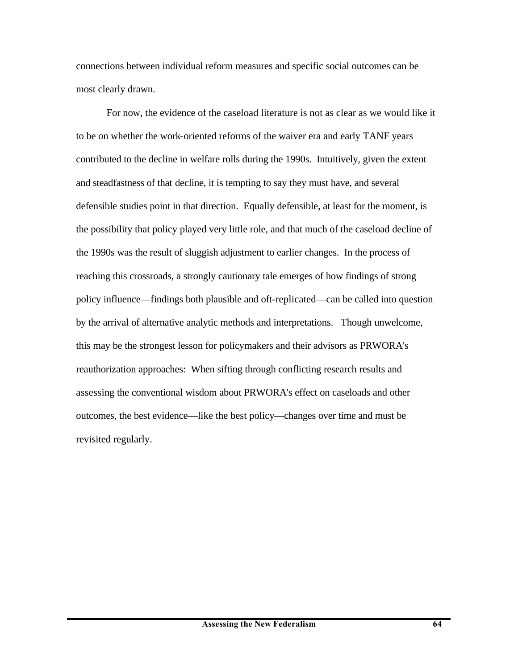connections between individual reform measures and specific social outcomes can be most clearly drawn.

For now, the evidence of the caseload literature is not as clear as we would like it to be on whether the work-oriented reforms of the waiver era and early TANF years contributed to the decline in welfare rolls during the 1990s. Intuitively, given the extent and steadfastness of that decline, it is tempting to say they must have, and several defensible studies point in that direction. Equally defensible, at least for the moment, is the possibility that policy played very little role, and that much of the caseload decline of the 1990s was the result of sluggish adjustment to earlier changes. In the process of reaching this crossroads, a strongly cautionary tale emerges of how findings of strong policy influence—findings both plausible and oft-replicated—can be called into question by the arrival of alternative analytic methods and interpretations. Though unwelcome, this may be the strongest lesson for policymakers and their advisors as PRWORA's reauthorization approaches: When sifting through conflicting research results and assessing the conventional wisdom about PRWORA's effect on caseloads and other outcomes, the best evidence—like the best policy—changes over time and must be revisited regularly.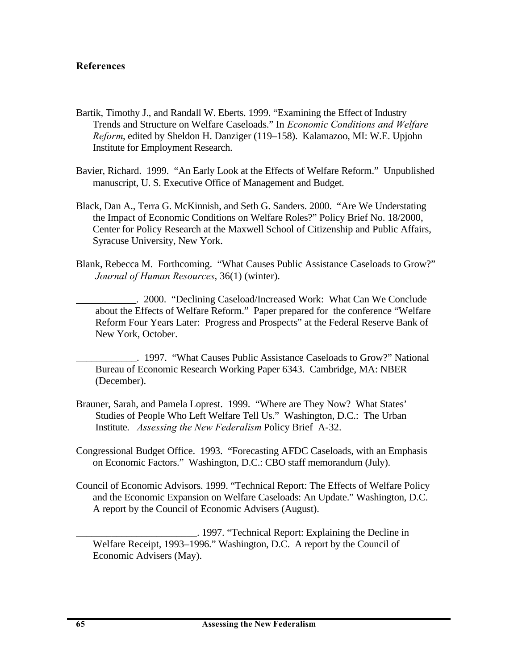### **References**

- Bartik, Timothy J., and Randall W. Eberts. 1999. "Examining the Effect of Industry Trends and Structure on Welfare Caseloads." In *Economic Conditions and Welfare Reform*, edited by Sheldon H. Danziger (119–158). Kalamazoo, MI: W.E. Upjohn Institute for Employment Research.
- Bavier, Richard. 1999. "An Early Look at the Effects of Welfare Reform." Unpublished manuscript, U. S. Executive Office of Management and Budget.
- Black, Dan A., Terra G. McKinnish, and Seth G. Sanders. 2000. "Are We Understating the Impact of Economic Conditions on Welfare Roles?" Policy Brief No. 18/2000, Center for Policy Research at the Maxwell School of Citizenship and Public Affairs, Syracuse University, New York.
- Blank, Rebecca M. Forthcoming. "What Causes Public Assistance Caseloads to Grow?" *Journal of Human Resources*, 36(1) (winter).
	- \_\_\_\_\_\_\_\_\_\_\_\_. 2000. "Declining Caseload/Increased Work: What Can We Conclude about the Effects of Welfare Reform." Paper prepared for the conference "Welfare Reform Four Years Later: Progress and Prospects" at the Federal Reserve Bank of New York, October.
	- \_\_\_\_\_\_\_\_\_\_\_\_. 1997. "What Causes Public Assistance Caseloads to Grow?" National Bureau of Economic Research Working Paper 6343. Cambridge, MA: NBER (December).
- Brauner, Sarah, and Pamela Loprest. 1999. "Where are They Now? What States' Studies of People Who Left Welfare Tell Us." Washington, D.C.: The Urban Institute. *Assessing the New Federalism* Policy Brief A-32.
- Congressional Budget Office. 1993. "Forecasting AFDC Caseloads, with an Emphasis on Economic Factors." Washington, D.C.: CBO staff memorandum (July).
- Council of Economic Advisors. 1999. "Technical Report: The Effects of Welfare Policy and the Economic Expansion on Welfare Caseloads: An Update." Washington, D.C. A report by the Council of Economic Advisers (August).
	- \_\_\_\_\_\_\_\_\_\_\_\_\_\_\_\_\_\_\_\_\_\_\_\_. 1997. "Technical Report: Explaining the Decline in Welfare Receipt, 1993–1996." Washington, D.C. A report by the Council of Economic Advisers (May).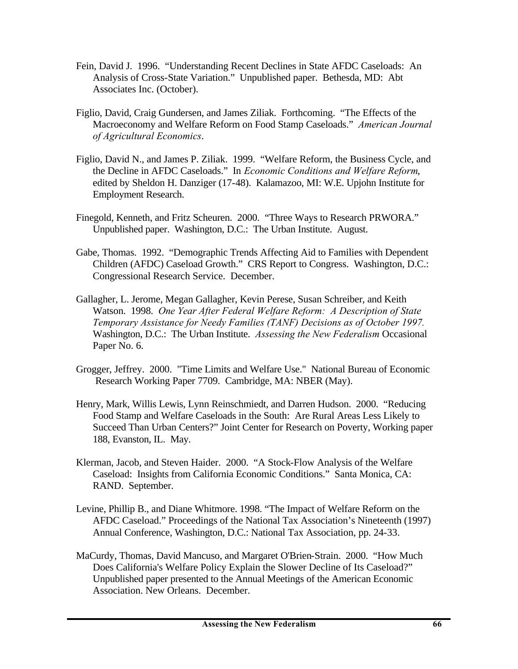- Fein, David J. 1996. "Understanding Recent Declines in State AFDC Caseloads: An Analysis of Cross-State Variation." Unpublished paper. Bethesda, MD: Abt Associates Inc. (October).
- Figlio, David, Craig Gundersen, and James Ziliak. Forthcoming. "The Effects of the Macroeconomy and Welfare Reform on Food Stamp Caseloads." *American Journal of Agricultural Economics*.
- Figlio, David N., and James P. Ziliak. 1999. "Welfare Reform, the Business Cycle, and the Decline in AFDC Caseloads." In *Economic Conditions and Welfare Reform*, edited by Sheldon H. Danziger (17-48). Kalamazoo, MI: W.E. Upjohn Institute for Employment Research.
- Finegold, Kenneth, and Fritz Scheuren. 2000. "Three Ways to Research PRWORA." Unpublished paper. Washington, D.C.: The Urban Institute. August.
- Gabe, Thomas. 1992. "Demographic Trends Affecting Aid to Families with Dependent Children (AFDC) Caseload Growth." CRS Report to Congress. Washington, D.C.: Congressional Research Service. December.
- Gallagher, L. Jerome, Megan Gallagher, Kevin Perese, Susan Schreiber, and Keith Watson. 1998. *One Year After Federal Welfare Reform: A Description of State Temporary Assistance for Needy Families (TANF) Decisions as of October 1997.* Washington, D.C.: The Urban Institute. *Assessing the New Federalism* Occasional Paper No. 6.
- Grogger, Jeffrey. 2000. "Time Limits and Welfare Use." National Bureau of Economic Research Working Paper 7709. Cambridge, MA: NBER (May).
- Henry, Mark, Willis Lewis, Lynn Reinschmiedt, and Darren Hudson. 2000. "Reducing Food Stamp and Welfare Caseloads in the South: Are Rural Areas Less Likely to Succeed Than Urban Centers?" Joint Center for Research on Poverty, Working paper 188, Evanston, IL. May.
- Klerman, Jacob, and Steven Haider. 2000. "A Stock-Flow Analysis of the Welfare Caseload: Insights from California Economic Conditions." Santa Monica, CA: RAND. September.
- Levine, Phillip B., and Diane Whitmore. 1998. "The Impact of Welfare Reform on the AFDC Caseload." Proceedings of the National Tax Association's Nineteenth (1997) Annual Conference, Washington, D.C.: National Tax Association, pp. 24-33.
- MaCurdy, Thomas, David Mancuso, and Margaret O'Brien-Strain. 2000. "How Much Does California's Welfare Policy Explain the Slower Decline of Its Caseload?" Unpublished paper presented to the Annual Meetings of the American Economic Association. New Orleans. December.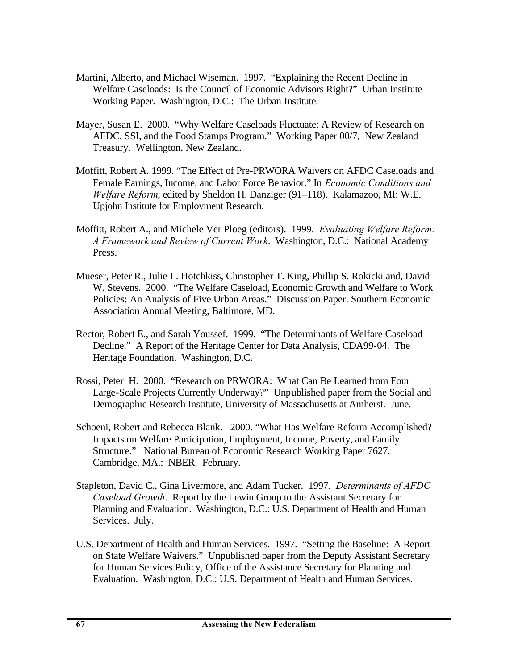- Martini, Alberto, and Michael Wiseman. 1997. "Explaining the Recent Decline in Welfare Caseloads: Is the Council of Economic Advisors Right?" Urban Institute Working Paper. Washington, D.C.: The Urban Institute.
- Mayer, Susan E. 2000. "Why Welfare Caseloads Fluctuate: A Review of Research on AFDC, SSI, and the Food Stamps Program." Working Paper 00/7, New Zealand Treasury. Wellington, New Zealand.
- Moffitt, Robert A. 1999. "The Effect of Pre-PRWORA Waivers on AFDC Caseloads and Female Earnings, Income, and Labor Force Behavior." In *Economic Conditions and Welfare Reform*, edited by Sheldon H. Danziger (91–118). Kalamazoo, MI: W.E. Upjohn Institute for Employment Research.
- Moffitt, Robert A., and Michele Ver Ploeg (editors). 1999. *Evaluating Welfare Reform: A Framework and Review of Current Work*. Washington, D.C.: National Academy Press.
- Mueser, Peter R., Julie L. Hotchkiss, Christopher T. King, Phillip S. Rokicki and, David W. Stevens. 2000. "The Welfare Caseload, Economic Growth and Welfare to Work Policies: An Analysis of Five Urban Areas." Discussion Paper. Southern Economic Association Annual Meeting, Baltimore, MD.
- Rector, Robert E., and Sarah Youssef. 1999. "The Determinants of Welfare Caseload Decline." A Report of the Heritage Center for Data Analysis, CDA99-04. The Heritage Foundation. Washington, D.C.
- Rossi, Peter H. 2000. "Research on PRWORA: What Can Be Learned from Four Large-Scale Projects Currently Underway?" Unpublished paper from the Social and Demographic Research Institute, University of Massachusetts at Amherst. June.
- Schoeni, Robert and Rebecca Blank. 2000. "What Has Welfare Reform Accomplished? Impacts on Welfare Participation, Employment, Income, Poverty, and Family Structure." National Bureau of Economic Research Working Paper 7627. Cambridge, MA.: NBER. February.
- Stapleton, David C., Gina Livermore, and Adam Tucker. 1997*. Determinants of AFDC Caseload Growth*. Report by the Lewin Group to the Assistant Secretary for Planning and Evaluation. Washington, D.C.: U.S. Department of Health and Human Services. July.
- U.S. Department of Health and Human Services. 1997. "Setting the Baseline: A Report on State Welfare Waivers." Unpublished paper from the Deputy Assistant Secretary for Human Services Policy, Office of the Assistance Secretary for Planning and Evaluation. Washington, D.C.: U.S. Department of Health and Human Services.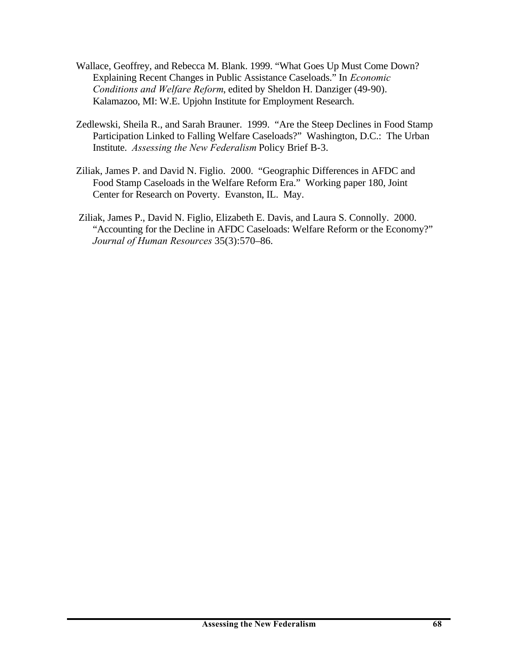- Wallace, Geoffrey, and Rebecca M. Blank. 1999. "What Goes Up Must Come Down? Explaining Recent Changes in Public Assistance Caseloads." In *Economic Conditions and Welfare Reform*, edited by Sheldon H. Danziger (49-90). Kalamazoo, MI: W.E. Upjohn Institute for Employment Research.
- Zedlewski, Sheila R., and Sarah Brauner. 1999. "Are the Steep Declines in Food Stamp Participation Linked to Falling Welfare Caseloads?" Washington, D.C.: The Urban Institute. *Assessing the New Federalism* Policy Brief B-3.
- Ziliak, James P. and David N. Figlio. 2000. "Geographic Differences in AFDC and Food Stamp Caseloads in the Welfare Reform Era." Working paper 180, Joint Center for Research on Poverty. Evanston, IL. May.
- Ziliak, James P., David N. Figlio, Elizabeth E. Davis, and Laura S. Connolly. 2000. "Accounting for the Decline in AFDC Caseloads: Welfare Reform or the Economy?" *Journal of Human Resources* 35(3):570–86.